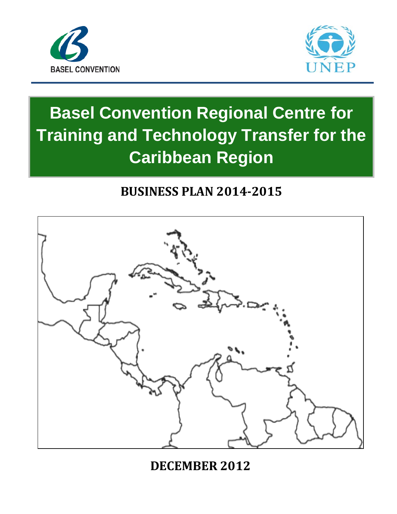



# **Basel Convention Regional Centre for Training and Technology Transfer for the Caribbean Region**

# **BUSINESS PLAN 2014-2015**



# **DECEMBER 2012**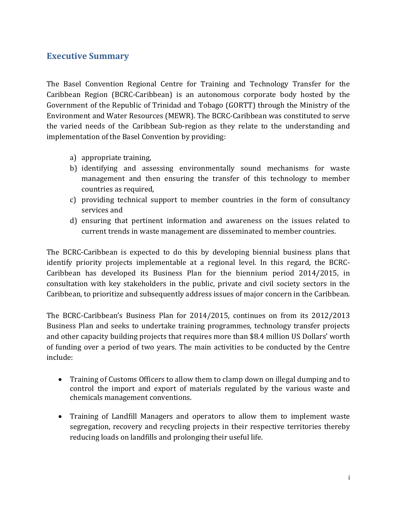#### <span id="page-1-0"></span>**Executive Summary**

The Basel Convention Regional Centre for Training and Technology Transfer for the Caribbean Region (BCRC-Caribbean) is an autonomous corporate body hosted by the Government of the Republic of Trinidad and Tobago (GORTT) through the Ministry of the Environment and Water Resources (MEWR). The BCRC-Caribbean was constituted to serve the varied needs of the Caribbean Sub-region as they relate to the understanding and implementation of the Basel Convention by providing:

- a) appropriate training,
- b) identifying and assessing environmentally sound mechanisms for waste management and then ensuring the transfer of this technology to member countries as required,
- c) providing technical support to member countries in the form of consultancy services and
- d) ensuring that pertinent information and awareness on the issues related to current trends in waste management are disseminated to member countries.

The BCRC-Caribbean is expected to do this by developing biennial business plans that identify priority projects implementable at a regional level. In this regard, the BCRC-Caribbean has developed its Business Plan for the biennium period 2014/2015, in consultation with key stakeholders in the public, private and civil society sectors in the Caribbean, to prioritize and subsequently address issues of major concern in the Caribbean.

The BCRC-Caribbean's Business Plan for 2014/2015, continues on from its 2012/2013 Business Plan and seeks to undertake training programmes, technology transfer projects and other capacity building projects that requires more than \$8.4 million US Dollars' worth of funding over a period of two years. The main activities to be conducted by the Centre include:

- Training of Customs Officers to allow them to clamp down on illegal dumping and to control the import and export of materials regulated by the various waste and chemicals management conventions.
- Training of Landfill Managers and operators to allow them to implement waste segregation, recovery and recycling projects in their respective territories thereby reducing loads on landfills and prolonging their useful life.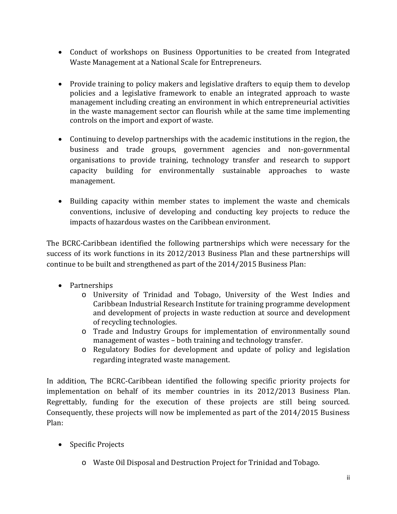- Conduct of workshops on Business Opportunities to be created from Integrated Waste Management at a National Scale for Entrepreneurs.
- Provide training to policy makers and legislative drafters to equip them to develop policies and a legislative framework to enable an integrated approach to waste management including creating an environment in which entrepreneurial activities in the waste management sector can flourish while at the same time implementing controls on the import and export of waste.
- Continuing to develop partnerships with the academic institutions in the region, the business and trade groups, government agencies and non-governmental organisations to provide training, technology transfer and research to support capacity building for environmentally sustainable approaches to waste management.
- Building capacity within member states to implement the waste and chemicals conventions, inclusive of developing and conducting key projects to reduce the impacts of hazardous wastes on the Caribbean environment.

The BCRC-Caribbean identified the following partnerships which were necessary for the success of its work functions in its 2012/2013 Business Plan and these partnerships will continue to be built and strengthened as part of the 2014/2015 Business Plan:

- Partnerships
	- o University of Trinidad and Tobago, University of the West Indies and Caribbean Industrial Research Institute for training programme development and development of projects in waste reduction at source and development of recycling technologies.
	- o Trade and Industry Groups for implementation of environmentally sound management of wastes – both training and technology transfer.
	- o Regulatory Bodies for development and update of policy and legislation regarding integrated waste management.

In addition, The BCRC-Caribbean identified the following specific priority projects for implementation on behalf of its member countries in its 2012/2013 Business Plan. Regrettably, funding for the execution of these projects are still being sourced. Consequently, these projects will now be implemented as part of the 2014/2015 Business Plan:

- Specific Projects
	- o Waste Oil Disposal and Destruction Project for Trinidad and Tobago.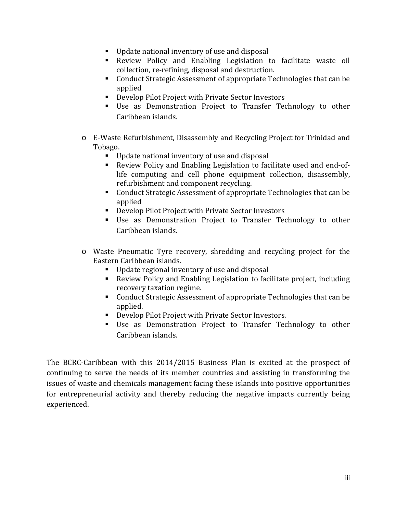- Update national inventory of use and disposal
- Review Policy and Enabling Legislation to facilitate waste oil collection, re-refining, disposal and destruction.
- Conduct Strategic Assessment of appropriate Technologies that can be applied
- Develop Pilot Project with Private Sector Investors
- Use as Demonstration Project to Transfer Technology to other Caribbean islands.
- o E-Waste Refurbishment, Disassembly and Recycling Project for Trinidad and Tobago.
	- Update national inventory of use and disposal
	- Review Policy and Enabling Legislation to facilitate used and end-oflife computing and cell phone equipment collection, disassembly, refurbishment and component recycling.
	- Conduct Strategic Assessment of appropriate Technologies that can be applied
	- Develop Pilot Project with Private Sector Investors
	- Use as Demonstration Project to Transfer Technology to other Caribbean islands.
- o Waste Pneumatic Tyre recovery, shredding and recycling project for the Eastern Caribbean islands.
	- Update regional inventory of use and disposal
	- Review Policy and Enabling Legislation to facilitate project, including recovery taxation regime.
	- Conduct Strategic Assessment of appropriate Technologies that can be applied.
	- Develop Pilot Project with Private Sector Investors.
	- Use as Demonstration Project to Transfer Technology to other Caribbean islands.

The BCRC-Caribbean with this 2014/2015 Business Plan is excited at the prospect of continuing to serve the needs of its member countries and assisting in transforming the issues of waste and chemicals management facing these islands into positive opportunities for entrepreneurial activity and thereby reducing the negative impacts currently being experienced.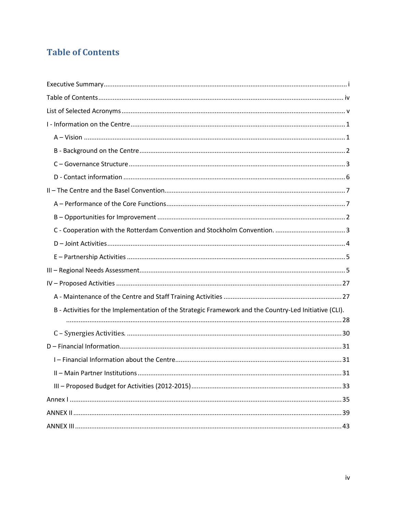# <span id="page-4-0"></span>**Table of Contents**

| B - Activities for the Implementation of the Strategic Framework and the Country-Led Initiative (CLI). |
|--------------------------------------------------------------------------------------------------------|
|                                                                                                        |
|                                                                                                        |
|                                                                                                        |
|                                                                                                        |
|                                                                                                        |
|                                                                                                        |
|                                                                                                        |
|                                                                                                        |
|                                                                                                        |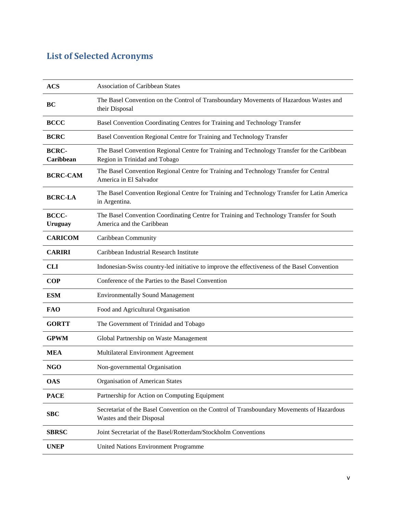# <span id="page-5-0"></span>**List of Selected Acronyms**

| <b>ACS</b>                | <b>Association of Caribbean States</b>                                                                                       |  |  |
|---------------------------|------------------------------------------------------------------------------------------------------------------------------|--|--|
| BC                        | The Basel Convention on the Control of Transboundary Movements of Hazardous Wastes and<br>their Disposal                     |  |  |
| <b>BCCC</b>               | Basel Convention Coordinating Centres for Training and Technology Transfer                                                   |  |  |
| <b>BCRC</b>               | Basel Convention Regional Centre for Training and Technology Transfer                                                        |  |  |
| <b>BCRC-</b><br>Caribbean | The Basel Convention Regional Centre for Training and Technology Transfer for the Caribbean<br>Region in Trinidad and Tobago |  |  |
| <b>BCRC-CAM</b>           | The Basel Convention Regional Centre for Training and Technology Transfer for Central<br>America in El Salvador              |  |  |
| <b>BCRC-LA</b>            | The Basel Convention Regional Centre for Training and Technology Transfer for Latin America<br>in Argentina.                 |  |  |
| BCCC-<br><b>Uruguay</b>   | The Basel Convention Coordinating Centre for Training and Technology Transfer for South<br>America and the Caribbean         |  |  |
| <b>CARICOM</b>            | Caribbean Community                                                                                                          |  |  |
| <b>CARIRI</b>             | Caribbean Industrial Research Institute                                                                                      |  |  |
| <b>CLI</b>                | Indonesian-Swiss country-led initiative to improve the effectiveness of the Basel Convention                                 |  |  |
| <b>COP</b>                | Conference of the Parties to the Basel Convention                                                                            |  |  |
| <b>ESM</b>                | <b>Environmentally Sound Management</b>                                                                                      |  |  |
| <b>FAO</b>                | Food and Agricultural Organisation                                                                                           |  |  |
| <b>GORTT</b>              | The Government of Trinidad and Tobago                                                                                        |  |  |
| <b>GPWM</b>               | Global Partnership on Waste Management                                                                                       |  |  |
| <b>MEA</b>                | Multilateral Environment Agreement                                                                                           |  |  |
| <b>NGO</b>                | Non-governmental Organisation                                                                                                |  |  |
| <b>OAS</b>                | <b>Organisation of American States</b>                                                                                       |  |  |
| <b>PACE</b>               | Partnership for Action on Computing Equipment                                                                                |  |  |
| <b>SBC</b>                | Secretariat of the Basel Convention on the Control of Transboundary Movements of Hazardous<br>Wastes and their Disposal      |  |  |
| <b>SBRSC</b>              | Joint Secretariat of the Basel/Rotterdam/Stockholm Conventions                                                               |  |  |
| <b>UNEP</b>               | United Nations Environment Programme                                                                                         |  |  |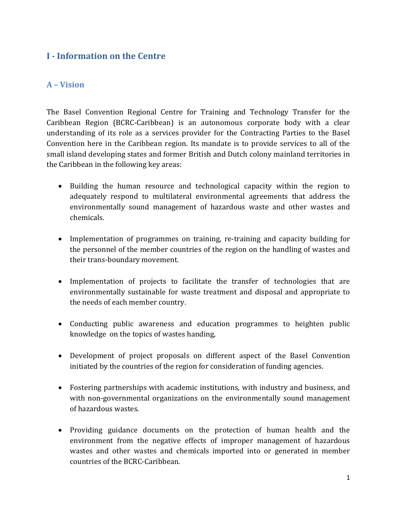#### <span id="page-6-0"></span>**I - Information on the Centre**

#### <span id="page-6-1"></span>**A – Vision**

The Basel Convention Regional Centre for Training and Technology Transfer for the Caribbean Region (BCRC-Caribbean) is an autonomous corporate body with a clear understanding of its role as a services provider for the Contracting Parties to the Basel Convention here in the Caribbean region. Its mandate is to provide services to all of the small island developing states and former British and Dutch colony mainland territories in the Caribbean in the following key areas:

- Building the human resource and technological capacity within the region to adequately respond to multilateral environmental agreements that address the environmentally sound management of hazardous waste and other wastes and chemicals.
- Implementation of programmes on training, re-training and capacity building for the personnel of the member countries of the region on the handling of wastes and their trans-boundary movement.
- Implementation of projects to facilitate the transfer of technologies that are environmentally sustainable for waste treatment and disposal and appropriate to the needs of each member country.
- Conducting public awareness and education programmes to heighten public knowledge on the topics of wastes handing,
- Development of project proposals on different aspect of the Basel Convention initiated by the countries of the region for consideration of funding agencies.
- Fostering partnerships with academic institutions, with industry and business, and with non-governmental organizations on the environmentally sound management of hazardous wastes.
- Providing guidance documents on the protection of human health and the environment from the negative effects of improper management of hazardous wastes and other wastes and chemicals imported into or generated in member countries of the BCRC-Caribbean.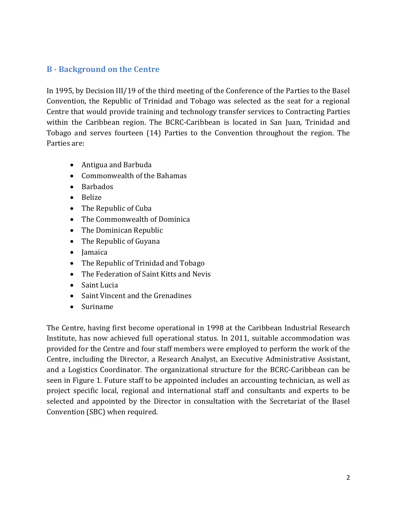#### <span id="page-7-0"></span>**B - Background on the Centre**

In 1995, by Decision III/19 of the third meeting of the Conference of the Parties to the Basel Convention, the Republic of Trinidad and Tobago was selected as the seat for a regional Centre that would provide training and technology transfer services to Contracting Parties within the Caribbean region. The BCRC-Caribbean is located in San Juan, Trinidad and Tobago and serves fourteen (14) Parties to the Convention throughout the region. The Parties are:

- Antigua and Barbuda
- Commonwealth of the Bahamas
- Barbados
- Belize
- The Republic of Cuba
- The Commonwealth of Dominica
- The Dominican Republic
- The Republic of Guyana
- Jamaica
- The Republic of Trinidad and Tobago
- The Federation of Saint Kitts and Nevis
- Saint Lucia
- Saint Vincent and the Grenadines
- Suriname

The Centre, having first become operational in 1998 at the Caribbean Industrial Research Institute, has now achieved full operational status. In 2011, suitable accommodation was provided for the Centre and four staff members were employed to perform the work of the Centre, including the Director, a Research Analyst, an Executive Administrative Assistant, and a Logistics Coordinator. The organizational structure for the BCRC-Caribbean can be seen in Figure 1. Future staff to be appointed includes an accounting technician, as well as project specific local, regional and international staff and consultants and experts to be selected and appointed by the Director in consultation with the Secretariat of the Basel Convention (SBC) when required.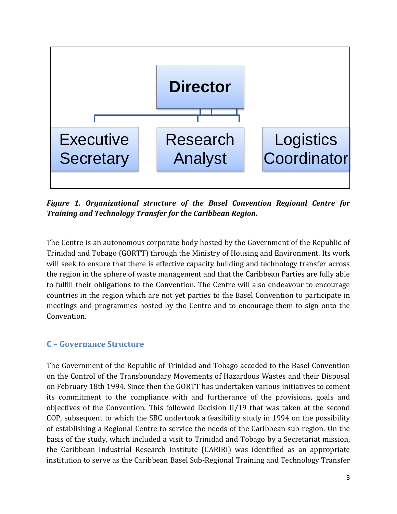

*Figure 1. Organizational structure of the Basel Convention Regional Centre for Training and Technology Transfer for the Caribbean Region.*

The Centre is an autonomous corporate body hosted by the Government of the Republic of Trinidad and Tobago (GORTT) through the Ministry of Housing and Environment. Its work will seek to ensure that there is effective capacity building and technology transfer across the region in the sphere of waste management and that the Caribbean Parties are fully able to fulfill their obligations to the Convention. The Centre will also endeavour to encourage countries in the region which are not yet parties to the Basel Convention to participate in meetings and programmes hosted by the Centre and to encourage them to sign onto the Convention.

#### <span id="page-8-0"></span>**C – Governance Structure**

The Government of the Republic of Trinidad and Tobago acceded to the Basel Convention on the Control of the Transboundary Movements of Hazardous Wastes and their Disposal on February 18th 1994. Since then the GORTT has undertaken various initiatives to cement its commitment to the compliance with and furtherance of the provisions, goals and objectives of the Convention. This followed Decision II/19 that was taken at the second COP, subsequent to which the SBC undertook a feasibility study in 1994 on the possibility of establishing a Regional Centre to service the needs of the Caribbean sub-region. On the basis of the study, which included a visit to Trinidad and Tobago by a Secretariat mission, the Caribbean Industrial Research Institute (CARIRI) was identified as an appropriate institution to serve as the Caribbean Basel Sub-Regional Training and Technology Transfer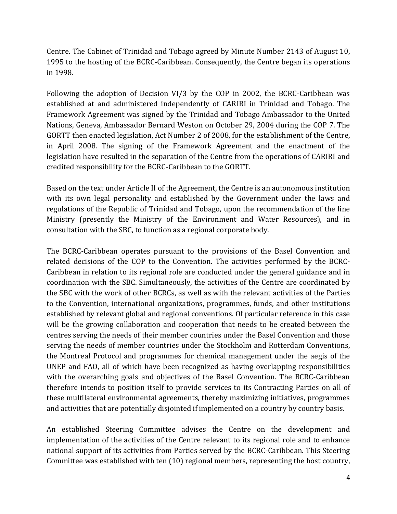Centre. The Cabinet of Trinidad and Tobago agreed by Minute Number 2143 of August 10, 1995 to the hosting of the BCRC-Caribbean. Consequently, the Centre began its operations in 1998.

Following the adoption of Decision VI/3 by the COP in 2002, the BCRC-Caribbean was established at and administered independently of CARIRI in Trinidad and Tobago. The Framework Agreement was signed by the Trinidad and Tobago Ambassador to the United Nations, Geneva, Ambassador Bernard Weston on October 29, 2004 during the COP 7. The GORTT then enacted legislation, Act Number 2 of 2008, for the establishment of the Centre, in April 2008. The signing of the Framework Agreement and the enactment of the legislation have resulted in the separation of the Centre from the operations of CARIRI and credited responsibility for the BCRC-Caribbean to the GORTT.

Based on the text under Article II of the Agreement, the Centre is an autonomous institution with its own legal personality and established by the Government under the laws and regulations of the Republic of Trinidad and Tobago, upon the recommendation of the line Ministry (presently the Ministry of the Environment and Water Resources), and in consultation with the SBC, to function as a regional corporate body.

The BCRC-Caribbean operates pursuant to the provisions of the Basel Convention and related decisions of the COP to the Convention. The activities performed by the BCRC-Caribbean in relation to its regional role are conducted under the general guidance and in coordination with the SBC. Simultaneously, the activities of the Centre are coordinated by the SBC with the work of other BCRCs, as well as with the relevant activities of the Parties to the Convention, international organizations, programmes, funds, and other institutions established by relevant global and regional conventions. Of particular reference in this case will be the growing collaboration and cooperation that needs to be created between the centres serving the needs of their member countries under the Basel Convention and those serving the needs of member countries under the Stockholm and Rotterdam Conventions, the Montreal Protocol and programmes for chemical management under the aegis of the UNEP and FAO, all of which have been recognized as having overlapping responsibilities with the overarching goals and objectives of the Basel Convention. The BCRC-Caribbean therefore intends to position itself to provide services to its Contracting Parties on all of these multilateral environmental agreements, thereby maximizing initiatives, programmes and activities that are potentially disjointed if implemented on a country by country basis.

An established Steering Committee advises the Centre on the development and implementation of the activities of the Centre relevant to its regional role and to enhance national support of its activities from Parties served by the BCRC-Caribbean. This Steering Committee was established with ten (10) regional members, representing the host country,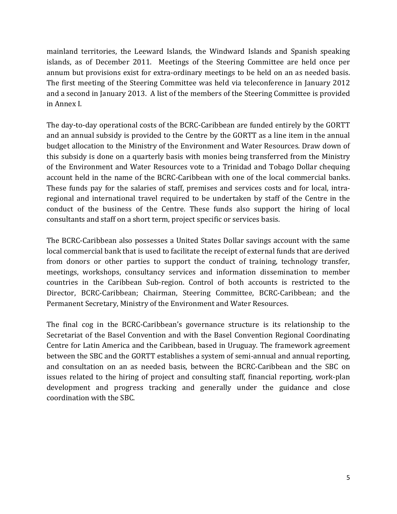mainland territories, the Leeward Islands, the Windward Islands and Spanish speaking islands, as of December 2011. Meetings of the Steering Committee are held once per annum but provisions exist for extra-ordinary meetings to be held on an as needed basis. The first meeting of the Steering Committee was held via teleconference in January 2012 and a second in January 2013. A list of the members of the Steering Committee is provided in Annex I.

The day-to-day operational costs of the BCRC-Caribbean are funded entirely by the GORTT and an annual subsidy is provided to the Centre by the GORTT as a line item in the annual budget allocation to the Ministry of the Environment and Water Resources. Draw down of this subsidy is done on a quarterly basis with monies being transferred from the Ministry of the Environment and Water Resources vote to a Trinidad and Tobago Dollar chequing account held in the name of the BCRC-Caribbean with one of the local commercial banks. These funds pay for the salaries of staff, premises and services costs and for local, intraregional and international travel required to be undertaken by staff of the Centre in the conduct of the business of the Centre. These funds also support the hiring of local consultants and staff on a short term, project specific or services basis.

The BCRC-Caribbean also possesses a United States Dollar savings account with the same local commercial bank that is used to facilitate the receipt of external funds that are derived from donors or other parties to support the conduct of training, technology transfer, meetings, workshops, consultancy services and information dissemination to member countries in the Caribbean Sub-region. Control of both accounts is restricted to the Director, BCRC-Caribbean; Chairman, Steering Committee, BCRC-Caribbean; and the Permanent Secretary, Ministry of the Environment and Water Resources.

The final cog in the BCRC-Caribbean's governance structure is its relationship to the Secretariat of the Basel Convention and with the Basel Convention Regional Coordinating Centre for Latin America and the Caribbean, based in Uruguay. The framework agreement between the SBC and the GORTT establishes a system of semi-annual and annual reporting, and consultation on an as needed basis, between the BCRC-Caribbean and the SBC on issues related to the hiring of project and consulting staff, financial reporting, work-plan development and progress tracking and generally under the guidance and close coordination with the SBC.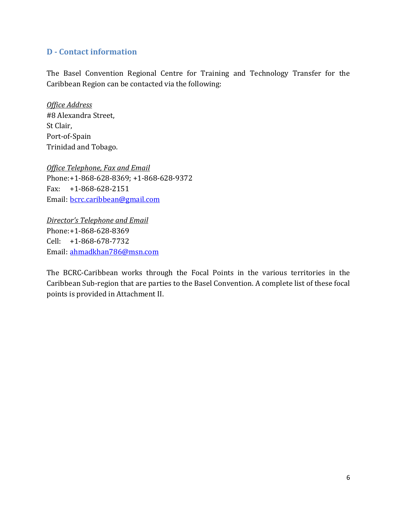#### <span id="page-11-0"></span>**D - Contact information**

The Basel Convention Regional Centre for Training and Technology Transfer for the Caribbean Region can be contacted via the following:

*Office Address* #8 Alexandra Street, St Clair, Port-of-Spain Trinidad and Tobago.

*Office Telephone, Fax and Email* Phone:+1-868-628-8369; +1-868-628-9372 Fax: +1-868-628-2151 Email: [bcrc.caribbean@gmail.com](mailto:bcrc.caribbean@gmail.com)

*Director's Telephone and Email* Phone:+1-868-628-8369 Cell: +1-868-678-7732 Email: [ahmadkhan786@msn.com](mailto:ahmadkhan786@msn.com)

The BCRC-Caribbean works through the Focal Points in the various territories in the Caribbean Sub-region that are parties to the Basel Convention. A complete list of these focal points is provided in Attachment II.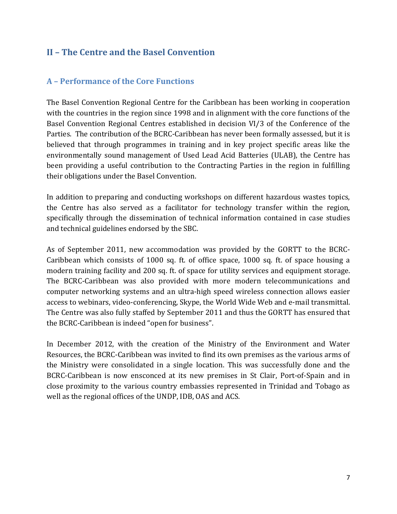#### <span id="page-12-0"></span>**II – The Centre and the Basel Convention**

#### <span id="page-12-1"></span>**A – Performance of the Core Functions**

The Basel Convention Regional Centre for the Caribbean has been working in cooperation with the countries in the region since 1998 and in alignment with the core functions of the Basel Convention Regional Centres established in decision VI/3 of the Conference of the Parties. The contribution of the BCRC-Caribbean has never been formally assessed, but it is believed that through programmes in training and in key project specific areas like the environmentally sound management of Used Lead Acid Batteries (ULAB), the Centre has been providing a useful contribution to the Contracting Parties in the region in fulfilling their obligations under the Basel Convention.

In addition to preparing and conducting workshops on different hazardous wastes topics, the Centre has also served as a facilitator for technology transfer within the region, specifically through the dissemination of technical information contained in case studies and technical guidelines endorsed by the SBC.

As of September 2011, new accommodation was provided by the GORTT to the BCRC-Caribbean which consists of 1000 sq. ft. of office space, 1000 sq. ft. of space housing a modern training facility and 200 sq. ft. of space for utility services and equipment storage. The BCRC-Caribbean was also provided with more modern telecommunications and computer networking systems and an ultra-high speed wireless connection allows easier access to webinars, video-conferencing, Skype, the World Wide Web and e-mail transmittal. The Centre was also fully staffed by September 2011 and thus the GORTT has ensured that the BCRC-Caribbean is indeed "open for business".

In December 2012, with the creation of the Ministry of the Environment and Water Resources, the BCRC-Caribbean was invited to find its own premises as the various arms of the Ministry were consolidated in a single location. This was successfully done and the BCRC-Caribbean is now ensconced at its new premises in St Clair, Port-of-Spain and in close proximity to the various country embassies represented in Trinidad and Tobago as well as the regional offices of the UNDP, IDB, OAS and ACS.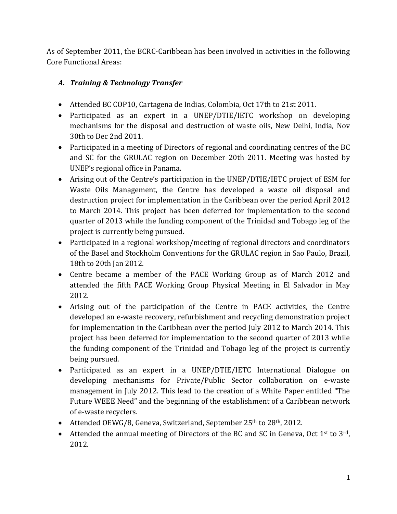As of September 2011, the BCRC-Caribbean has been involved in activities in the following Core Functional Areas:

#### *A. Training & Technology Transfer*

- Attended BC COP10, Cartagena de Indias, Colombia, Oct 17th to 21st 2011.
- Participated as an expert in a UNEP/DTIE/IETC workshop on developing mechanisms for the disposal and destruction of waste oils, New Delhi, India, Nov 30th to Dec 2nd 2011.
- Participated in a meeting of Directors of regional and coordinating centres of the BC and SC for the GRULAC region on December 20th 2011. Meeting was hosted by UNEP's regional office in Panama.
- Arising out of the Centre's participation in the UNEP/DTIE/IETC project of ESM for Waste Oils Management, the Centre has developed a waste oil disposal and destruction project for implementation in the Caribbean over the period April 2012 to March 2014. This project has been deferred for implementation to the second quarter of 2013 while the funding component of the Trinidad and Tobago leg of the project is currently being pursued.
- Participated in a regional workshop/meeting of regional directors and coordinators of the Basel and Stockholm Conventions for the GRULAC region in Sao Paulo, Brazil, 18th to 20th Jan 2012.
- Centre became a member of the PACE Working Group as of March 2012 and attended the fifth PACE Working Group Physical Meeting in El Salvador in May 2012.
- Arising out of the participation of the Centre in PACE activities, the Centre developed an e-waste recovery, refurbishment and recycling demonstration project for implementation in the Caribbean over the period July 2012 to March 2014. This project has been deferred for implementation to the second quarter of 2013 while the funding component of the Trinidad and Tobago leg of the project is currently being pursued.
- Participated as an expert in a UNEP/DTIE/IETC International Dialogue on developing mechanisms for Private/Public Sector collaboration on e-waste management in July 2012. This lead to the creation of a White Paper entitled "The Future WEEE Need" and the beginning of the establishment of a Caribbean network of e-waste recyclers.
- Attended OEWG/8, Geneva, Switzerland, September 25<sup>th</sup> to 28<sup>th</sup>, 2012.
- Attended the annual meeting of Directors of the BC and SC in Geneva, Oct  $1<sup>st</sup>$  to  $3<sup>rd</sup>$ , 2012.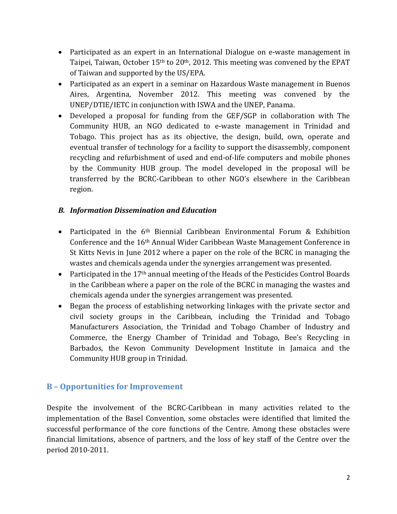- Participated as an expert in an International Dialogue on e-waste management in Taipei, Taiwan, October 15<sup>th</sup> to 20<sup>th</sup>, 2012. This meeting was convened by the EPAT of Taiwan and supported by the US/EPA.
- Participated as an expert in a seminar on Hazardous Waste management in Buenos Aires, Argentina, November 2012. This meeting was convened by the UNEP/DTIE/IETC in conjunction with ISWA and the UNEP, Panama.
- Developed a proposal for funding from the GEF/SGP in collaboration with The Community HUB, an NGO dedicated to e-waste management in Trinidad and Tobago. This project has as its objective, the design, build, own, operate and eventual transfer of technology for a facility to support the disassembly, component recycling and refurbishment of used and end-of-life computers and mobile phones by the Community HUB group. The model developed in the proposal will be transferred by the BCRC-Caribbean to other NGO's elsewhere in the Caribbean region.

#### *B. Information Dissemination and Education*

- Participated in the 6<sup>th</sup> Biennial Caribbean Environmental Forum & Exhibition Conference and the 16th Annual Wider Caribbean Waste Management Conference in St Kitts Nevis in June 2012 where a paper on the role of the BCRC in managing the wastes and chemicals agenda under the synergies arrangement was presented.
- Participated in the 17<sup>th</sup> annual meeting of the Heads of the Pesticides Control Boards in the Caribbean where a paper on the role of the BCRC in managing the wastes and chemicals agenda under the synergies arrangement was presented.
- Began the process of establishing networking linkages with the private sector and civil society groups in the Caribbean, including the Trinidad and Tobago Manufacturers Association, the Trinidad and Tobago Chamber of Industry and Commerce, the Energy Chamber of Trinidad and Tobago, Bee's Recycling in Barbados, the Kevon Community Development Institute in Jamaica and the Community HUB group in Trinidad.

#### <span id="page-14-0"></span>**B – Opportunities for Improvement**

Despite the involvement of the BCRC-Caribbean in many activities related to the implementation of the Basel Convention, some obstacles were identified that limited the successful performance of the core functions of the Centre. Among these obstacles were financial limitations, absence of partners, and the loss of key staff of the Centre over the period 2010-2011.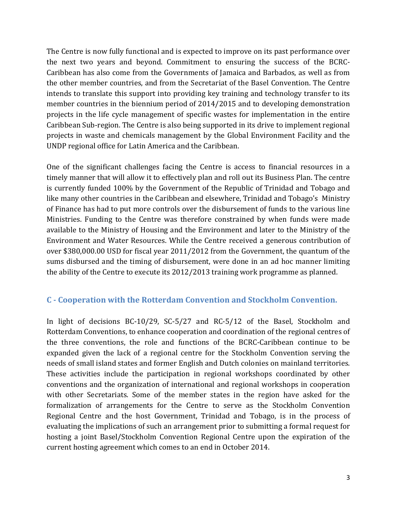The Centre is now fully functional and is expected to improve on its past performance over the next two years and beyond. Commitment to ensuring the success of the BCRC-Caribbean has also come from the Governments of Jamaica and Barbados, as well as from the other member countries, and from the Secretariat of the Basel Convention. The Centre intends to translate this support into providing key training and technology transfer to its member countries in the biennium period of 2014/2015 and to developing demonstration projects in the life cycle management of specific wastes for implementation in the entire Caribbean Sub-region. The Centre is also being supported in its drive to implement regional projects in waste and chemicals management by the Global Environment Facility and the UNDP regional office for Latin America and the Caribbean.

One of the significant challenges facing the Centre is access to financial resources in a timely manner that will allow it to effectively plan and roll out its Business Plan. The centre is currently funded 100% by the Government of the Republic of Trinidad and Tobago and like many other countries in the Caribbean and elsewhere, Trinidad and Tobago's Ministry of Finance has had to put more controls over the disbursement of funds to the various line Ministries. Funding to the Centre was therefore constrained by when funds were made available to the Ministry of Housing and the Environment and later to the Ministry of the Environment and Water Resources. While the Centre received a generous contribution of over \$380,000.00 USD for fiscal year 2011/2012 from the Government, the quantum of the sums disbursed and the timing of disbursement, were done in an ad hoc manner limiting the ability of the Centre to execute its 2012/2013 training work programme as planned.

#### <span id="page-15-0"></span>**C - Cooperation with the Rotterdam Convention and Stockholm Convention.**

In light of decisions BC-10/29, SC-5/27 and RC-5/12 of the Basel, Stockholm and Rotterdam Conventions, to enhance cooperation and coordination of the regional centres of the three conventions, the role and functions of the BCRC-Caribbean continue to be expanded given the lack of a regional centre for the Stockholm Convention serving the needs of small island states and former English and Dutch colonies on mainland territories. These activities include the participation in regional workshops coordinated by other conventions and the organization of international and regional workshops in cooperation with other Secretariats. Some of the member states in the region have asked for the formalization of arrangements for the Centre to serve as the Stockholm Convention Regional Centre and the host Government, Trinidad and Tobago, is in the process of evaluating the implications of such an arrangement prior to submitting a formal request for hosting a joint Basel/Stockholm Convention Regional Centre upon the expiration of the current hosting agreement which comes to an end in October 2014.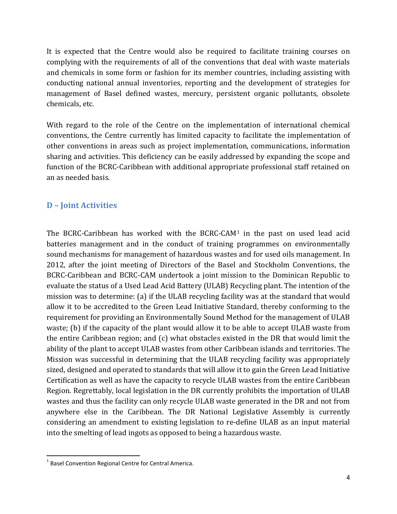It is expected that the Centre would also be required to facilitate training courses on complying with the requirements of all of the conventions that deal with waste materials and chemicals in some form or fashion for its member countries, including assisting with conducting national annual inventories, reporting and the development of strategies for management of Basel defined wastes, mercury, persistent organic pollutants, obsolete chemicals, etc.

With regard to the role of the Centre on the implementation of international chemical conventions, the Centre currently has limited capacity to facilitate the implementation of other conventions in areas such as project implementation, communications, information sharing and activities. This deficiency can be easily addressed by expanding the scope and function of the BCRC-Caribbean with additional appropriate professional staff retained on an as needed basis.

#### <span id="page-16-0"></span>**D – Joint Activities**

The BCRC-Caribbean has worked with the BCRC-CAM[1](#page-16-1) in the past on used lead acid batteries management and in the conduct of training programmes on environmentally sound mechanisms for management of hazardous wastes and for used oils management. In 2012, after the joint meeting of Directors of the Basel and Stockholm Conventions, the BCRC-Caribbean and BCRC-CAM undertook a joint mission to the Dominican Republic to evaluate the status of a Used Lead Acid Battery (ULAB) Recycling plant. The intention of the mission was to determine: (a) if the ULAB recycling facility was at the standard that would allow it to be accredited to the Green Lead Initiative Standard, thereby conforming to the requirement for providing an Environmentally Sound Method for the management of ULAB waste; (b) if the capacity of the plant would allow it to be able to accept ULAB waste from the entire Caribbean region; and (c) what obstacles existed in the DR that would limit the ability of the plant to accept ULAB wastes from other Caribbean islands and territories. The Mission was successful in determining that the ULAB recycling facility was appropriately sized, designed and operated to standards that will allow it to gain the Green Lead Initiative Certification as well as have the capacity to recycle ULAB wastes from the entire Caribbean Region. Regrettably, local legislation in the DR currently prohibits the importation of ULAB wastes and thus the facility can only recycle ULAB waste generated in the DR and not from anywhere else in the Caribbean. The DR National Legislative Assembly is currently considering an amendment to existing legislation to re-define ULAB as an input material into the smelting of lead ingots as opposed to being a hazardous waste.

<span id="page-16-1"></span> $1$  Basel Convention Regional Centre for Central America.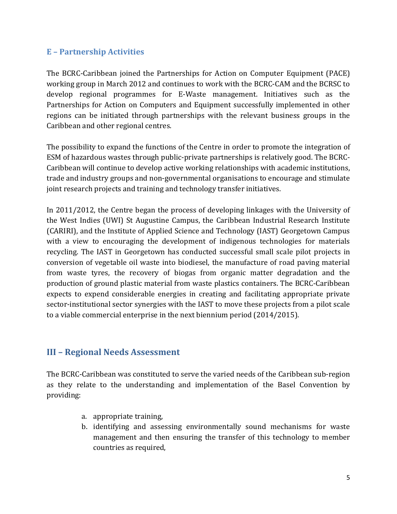#### <span id="page-17-0"></span>**E – Partnership Activities**

The BCRC-Caribbean joined the Partnerships for Action on Computer Equipment (PACE) working group in March 2012 and continues to work with the BCRC-CAM and the BCRSC to develop regional programmes for E-Waste management. Initiatives such as the Partnerships for Action on Computers and Equipment successfully implemented in other regions can be initiated through partnerships with the relevant business groups in the Caribbean and other regional centres.

The possibility to expand the functions of the Centre in order to promote the integration of ESM of hazardous wastes through public-private partnerships is relatively good. The BCRC-Caribbean will continue to develop active working relationships with academic institutions, trade and industry groups and non-governmental organisations to encourage and stimulate joint research projects and training and technology transfer initiatives.

In 2011/2012, the Centre began the process of developing linkages with the University of the West Indies (UWI) St Augustine Campus, the Caribbean Industrial Research Institute (CARIRI), and the Institute of Applied Science and Technology (IAST) Georgetown Campus with a view to encouraging the development of indigenous technologies for materials recycling. The IAST in Georgetown has conducted successful small scale pilot projects in conversion of vegetable oil waste into biodiesel, the manufacture of road paving material from waste tyres, the recovery of biogas from organic matter degradation and the production of ground plastic material from waste plastics containers. The BCRC-Caribbean expects to expend considerable energies in creating and facilitating appropriate private sector-institutional sector synergies with the IAST to move these projects from a pilot scale to a viable commercial enterprise in the next biennium period (2014/2015).

#### <span id="page-17-1"></span>**III – Regional Needs Assessment**

The BCRC-Caribbean was constituted to serve the varied needs of the Caribbean sub-region as they relate to the understanding and implementation of the Basel Convention by providing:

- a. appropriate training,
- b. identifying and assessing environmentally sound mechanisms for waste management and then ensuring the transfer of this technology to member countries as required,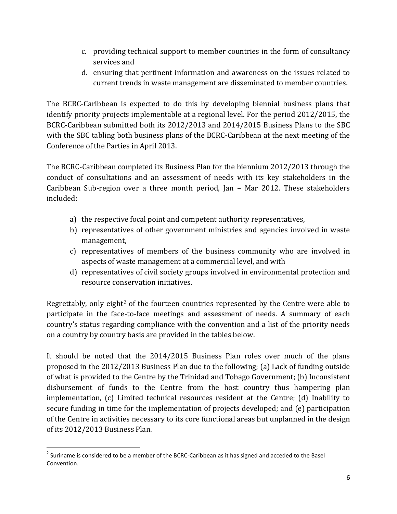- c. providing technical support to member countries in the form of consultancy services and
- d. ensuring that pertinent information and awareness on the issues related to current trends in waste management are disseminated to member countries.

The BCRC-Caribbean is expected to do this by developing biennial business plans that identify priority projects implementable at a regional level. For the period 2012/2015, the BCRC-Caribbean submitted both its 2012/2013 and 2014/2015 Business Plans to the SBC with the SBC tabling both business plans of the BCRC-Caribbean at the next meeting of the Conference of the Parties in April 2013.

The BCRC-Caribbean completed its Business Plan for the biennium 2012/2013 through the conduct of consultations and an assessment of needs with its key stakeholders in the Caribbean Sub-region over a three month period, Jan – Mar 2012. These stakeholders included:

- a) the respective focal point and competent authority representatives,
- b) representatives of other government ministries and agencies involved in waste management,
- c) representatives of members of the business community who are involved in aspects of waste management at a commercial level, and with
- d) representatives of civil society groups involved in environmental protection and resource conservation initiatives.

Regrettably, only eight<sup>[2](#page-18-0)</sup> of the fourteen countries represented by the Centre were able to participate in the face-to-face meetings and assessment of needs. A summary of each country's status regarding compliance with the convention and a list of the priority needs on a country by country basis are provided in the tables below.

It should be noted that the 2014/2015 Business Plan roles over much of the plans proposed in the 2012/2013 Business Plan due to the following; (a) Lack of funding outside of what is provided to the Centre by the Trinidad and Tobago Government; (b) Inconsistent disbursement of funds to the Centre from the host country thus hampering plan implementation, (c) Limited technical resources resident at the Centre; (d) Inability to secure funding in time for the implementation of projects developed; and (e) participation of the Centre in activities necessary to its core functional areas but unplanned in the design of its 2012/2013 Business Plan.

<span id="page-18-0"></span><sup>&</sup>lt;sup>2</sup> Suriname is considered to be a member of the BCRC-Caribbean as it has signed and acceded to the Basel Convention.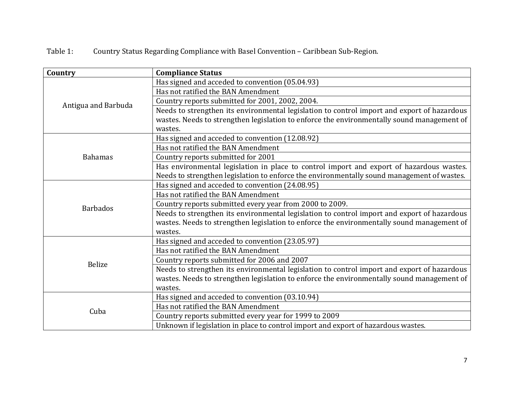Table 1: Country Status Regarding Compliance with Basel Convention – Caribbean Sub-Region.

| Country             | <b>Compliance Status</b>                                                                    |
|---------------------|---------------------------------------------------------------------------------------------|
|                     | Has signed and acceded to convention (05.04.93)                                             |
|                     | Has not ratified the BAN Amendment                                                          |
| Antigua and Barbuda | Country reports submitted for 2001, 2002, 2004.                                             |
|                     | Needs to strengthen its environmental legislation to control import and export of hazardous |
|                     | wastes. Needs to strengthen legislation to enforce the environmentally sound management of  |
|                     | wastes.                                                                                     |
|                     | Has signed and acceded to convention (12.08.92)                                             |
|                     | Has not ratified the BAN Amendment                                                          |
| <b>Bahamas</b>      | Country reports submitted for 2001                                                          |
|                     | Has environmental legislation in place to control import and export of hazardous wastes.    |
|                     | Needs to strengthen legislation to enforce the environmentally sound management of wastes.  |
|                     | Has signed and acceded to convention (24.08.95)                                             |
|                     | Has not ratified the BAN Amendment                                                          |
| <b>Barbados</b>     | Country reports submitted every year from 2000 to 2009.                                     |
|                     | Needs to strengthen its environmental legislation to control import and export of hazardous |
|                     | wastes. Needs to strengthen legislation to enforce the environmentally sound management of  |
|                     | wastes.                                                                                     |
|                     | Has signed and acceded to convention (23.05.97)                                             |
|                     | Has not ratified the BAN Amendment                                                          |
| <b>Belize</b>       | Country reports submitted for 2006 and 2007                                                 |
|                     | Needs to strengthen its environmental legislation to control import and export of hazardous |
|                     | wastes. Needs to strengthen legislation to enforce the environmentally sound management of  |
|                     | wastes.                                                                                     |
|                     | Has signed and acceded to convention (03.10.94)                                             |
| Cuba                | Has not ratified the BAN Amendment                                                          |
|                     | Country reports submitted every year for 1999 to 2009                                       |
|                     | Unknown if legislation in place to control import and export of hazardous wastes.           |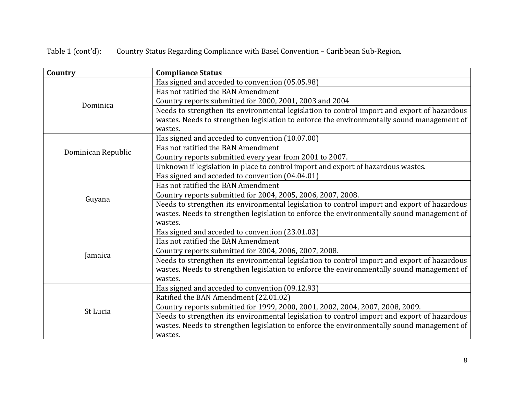Table 1 (cont'd): Country Status Regarding Compliance with Basel Convention – Caribbean Sub-Region.

| Country<br><b>Compliance Status</b> |                                                                                             |
|-------------------------------------|---------------------------------------------------------------------------------------------|
|                                     | Has signed and acceded to convention (05.05.98)                                             |
|                                     | Has not ratified the BAN Amendment                                                          |
| Dominica                            | Country reports submitted for 2000, 2001, 2003 and 2004                                     |
|                                     | Needs to strengthen its environmental legislation to control import and export of hazardous |
|                                     | wastes. Needs to strengthen legislation to enforce the environmentally sound management of  |
|                                     | wastes.                                                                                     |
|                                     | Has signed and acceded to convention (10.07.00)                                             |
| Dominican Republic                  | Has not ratified the BAN Amendment                                                          |
|                                     | Country reports submitted every year from 2001 to 2007.                                     |
|                                     | Unknown if legislation in place to control import and export of hazardous wastes.           |
|                                     | Has signed and acceded to convention (04.04.01)                                             |
|                                     | Has not ratified the BAN Amendment                                                          |
| Guyana                              | Country reports submitted for 2004, 2005, 2006, 2007, 2008.                                 |
|                                     | Needs to strengthen its environmental legislation to control import and export of hazardous |
|                                     | wastes. Needs to strengthen legislation to enforce the environmentally sound management of  |
|                                     | wastes.                                                                                     |
|                                     | Has signed and acceded to convention (23.01.03)                                             |
|                                     | Has not ratified the BAN Amendment                                                          |
| Jamaica                             | Country reports submitted for 2004, 2006, 2007, 2008.                                       |
|                                     | Needs to strengthen its environmental legislation to control import and export of hazardous |
|                                     | wastes. Needs to strengthen legislation to enforce the environmentally sound management of  |
|                                     | wastes.                                                                                     |
|                                     | Has signed and acceded to convention (09.12.93)                                             |
|                                     | Ratified the BAN Amendment (22.01.02)                                                       |
| St Lucia                            | Country reports submitted for 1999, 2000, 2001, 2002, 2004, 2007, 2008, 2009.               |
|                                     | Needs to strengthen its environmental legislation to control import and export of hazardous |
|                                     | wastes. Needs to strengthen legislation to enforce the environmentally sound management of  |
|                                     | wastes.                                                                                     |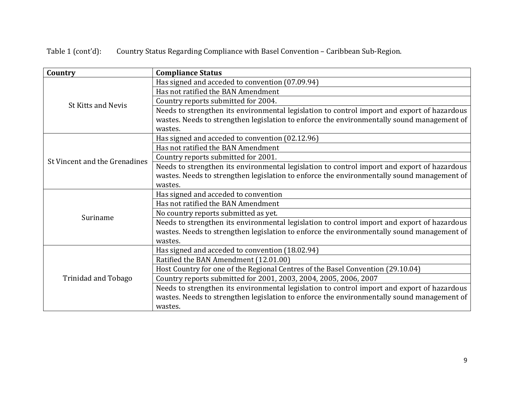Table 1 (cont'd): Country Status Regarding Compliance with Basel Convention – Caribbean Sub-Region.

| Country                       | <b>Compliance Status</b>                                                                    |  |
|-------------------------------|---------------------------------------------------------------------------------------------|--|
|                               | Has signed and acceded to convention (07.09.94)                                             |  |
|                               | Has not ratified the BAN Amendment                                                          |  |
| <b>St Kitts and Nevis</b>     | Country reports submitted for 2004.                                                         |  |
|                               | Needs to strengthen its environmental legislation to control import and export of hazardous |  |
|                               | wastes. Needs to strengthen legislation to enforce the environmentally sound management of  |  |
|                               | wastes.                                                                                     |  |
|                               | Has signed and acceded to convention (02.12.96)                                             |  |
|                               | Has not ratified the BAN Amendment                                                          |  |
| St Vincent and the Grenadines | Country reports submitted for 2001.                                                         |  |
|                               | Needs to strengthen its environmental legislation to control import and export of hazardous |  |
|                               | wastes. Needs to strengthen legislation to enforce the environmentally sound management of  |  |
|                               | wastes.                                                                                     |  |
|                               | Has signed and acceded to convention                                                        |  |
|                               | Has not ratified the BAN Amendment                                                          |  |
| Suriname                      | No country reports submitted as yet.                                                        |  |
|                               | Needs to strengthen its environmental legislation to control import and export of hazardous |  |
|                               | wastes. Needs to strengthen legislation to enforce the environmentally sound management of  |  |
|                               | wastes.                                                                                     |  |
|                               | Has signed and acceded to convention (18.02.94)                                             |  |
|                               | Ratified the BAN Amendment (12.01.00)                                                       |  |
|                               | Host Country for one of the Regional Centres of the Basel Convention (29.10.04)             |  |
| Trinidad and Tobago           | Country reports submitted for 2001, 2003, 2004, 2005, 2006, 2007                            |  |
|                               | Needs to strengthen its environmental legislation to control import and export of hazardous |  |
|                               | wastes. Needs to strengthen legislation to enforce the environmentally sound management of  |  |
|                               | wastes.                                                                                     |  |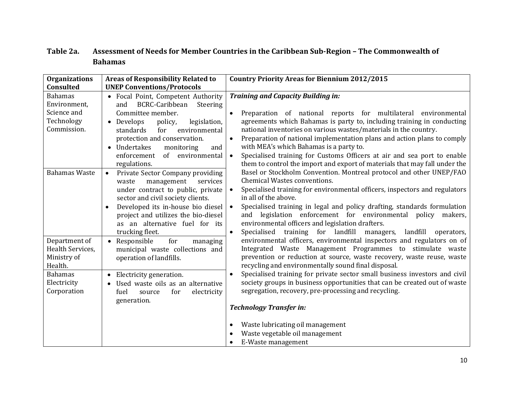#### **Table 2a. Assessment of Needs for Member Countries in the Caribbean Sub-Region – The Commonwealth of Bahamas**

| <b>Organizations</b><br><b>Consulted</b>                                                                    | <b>Areas of Responsibility Related to</b><br><b>UNEP Conventions/Protocols</b>                                                                                                                                                                                                                                                                                                                                                                                                                                                                                                                       | <b>Country Priority Areas for Biennium 2012/2015</b>                                                                                                                                                                                                                                                                                                                                                                                                                                                                                                                                                                                                                                                                                                                                                                                                                                                                                                                                                |
|-------------------------------------------------------------------------------------------------------------|------------------------------------------------------------------------------------------------------------------------------------------------------------------------------------------------------------------------------------------------------------------------------------------------------------------------------------------------------------------------------------------------------------------------------------------------------------------------------------------------------------------------------------------------------------------------------------------------------|-----------------------------------------------------------------------------------------------------------------------------------------------------------------------------------------------------------------------------------------------------------------------------------------------------------------------------------------------------------------------------------------------------------------------------------------------------------------------------------------------------------------------------------------------------------------------------------------------------------------------------------------------------------------------------------------------------------------------------------------------------------------------------------------------------------------------------------------------------------------------------------------------------------------------------------------------------------------------------------------------------|
| <b>Bahamas</b><br>Environment,<br>Science and<br>Technology<br>Commission.<br><b>Bahamas Waste</b>          | Focal Point, Competent Authority<br>BCRC-Caribbean<br>Steering<br>and<br>Committee member.<br>• Develops<br>policy,<br>legislation,<br>environmental<br>standards<br>for<br>protection and conservation.<br>Undertakes<br>monitoring<br>and<br>$\bullet$<br>enforcement<br>of environmental<br>regulations.<br>Private Sector Company providing<br>$\bullet$<br>management<br>services<br>waste<br>under contract to public, private<br>sector and civil society clients.<br>Developed its in-house bio diesel<br>$\bullet$<br>project and utilizes the bio-diesel<br>as an alternative fuel for its | <b>Training and Capacity Building in:</b><br>Preparation of national reports for multilateral environmental<br>$\bullet$<br>agreements which Bahamas is party to, including training in conducting<br>national inventories on various wastes/materials in the country.<br>Preparation of national implementation plans and action plans to comply<br>with MEA's which Bahamas is a party to.<br>Specialised training for Customs Officers at air and sea port to enable<br>$\bullet$<br>them to control the import and export of materials that may fall under the<br>Basel or Stockholm Convention. Montreal protocol and other UNEP/FAO<br><b>Chemical Wastes conventions.</b><br>Specialised training for environmental officers, inspectors and regulators<br>in all of the above.<br>Specialised training in legal and policy drafting, standards formulation<br>$\bullet$<br>and legislation enforcement for environmental policy makers,<br>environmental officers and legislation drafters. |
| Department of<br>Health Services,<br>Ministry of<br>Health.<br><b>Bahamas</b><br>Electricity<br>Corporation | trucking fleet.<br>• Responsible<br>for<br>managing<br>municipal waste collections and<br>operation of landfills.<br>Electricity generation.<br>$\bullet$<br>Used waste oils as an alternative<br>fuel<br>electricity<br>source<br>for<br>generation.                                                                                                                                                                                                                                                                                                                                                | Specialised training for landfill managers,<br>landfill<br>$\bullet$<br>operators,<br>environmental officers, environmental inspectors and regulators on of<br>Integrated Waste Management Programmes to stimulate waste<br>prevention or reduction at source, waste recovery, waste reuse, waste<br>recycling and environmentally sound final disposal.<br>Specialised training for private sector small business investors and civil<br>$\bullet$<br>society groups in business opportunities that can be created out of waste<br>segregation, recovery, pre-processing and recycling.<br><b>Technology Transfer in:</b>                                                                                                                                                                                                                                                                                                                                                                          |
|                                                                                                             |                                                                                                                                                                                                                                                                                                                                                                                                                                                                                                                                                                                                      | Waste lubricating oil management<br>$\bullet$<br>Waste vegetable oil management<br>E-Waste management                                                                                                                                                                                                                                                                                                                                                                                                                                                                                                                                                                                                                                                                                                                                                                                                                                                                                               |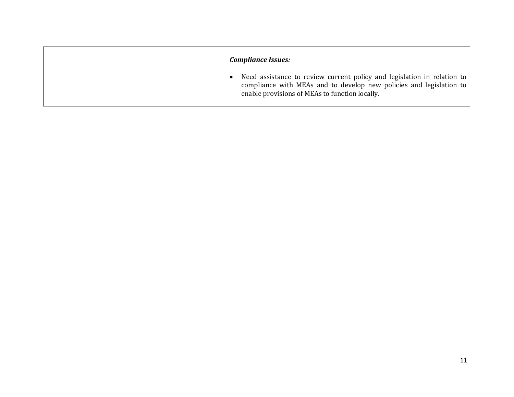|  | <b>Compliance Issues:</b>                                                                                                                                                                        |
|--|--------------------------------------------------------------------------------------------------------------------------------------------------------------------------------------------------|
|  | Need assistance to review current policy and legislation in relation to<br>compliance with MEAs and to develop new policies and legislation to<br>enable provisions of MEAs to function locally. |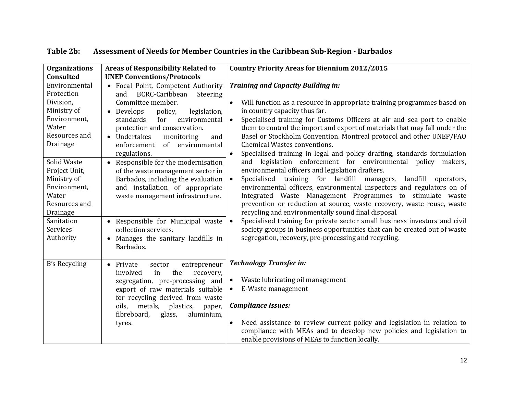| <b>Organizations</b><br>Consulted                                                                                                                                                                                                                         | <b>Areas of Responsibility Related to</b><br><b>UNEP Conventions/Protocols</b>                                                                                                                                                                                                                                                                                                                                                                                                                                                                                                                                                     | <b>Country Priority Areas for Biennium 2012/2015</b>                                                                                                                                                                                                                                                                                                                                                                                                                                                                                                                                                                                                                                                                                                                                                                                                                                                                                                                                                                                                                                                                                                                                                                                     |
|-----------------------------------------------------------------------------------------------------------------------------------------------------------------------------------------------------------------------------------------------------------|------------------------------------------------------------------------------------------------------------------------------------------------------------------------------------------------------------------------------------------------------------------------------------------------------------------------------------------------------------------------------------------------------------------------------------------------------------------------------------------------------------------------------------------------------------------------------------------------------------------------------------|------------------------------------------------------------------------------------------------------------------------------------------------------------------------------------------------------------------------------------------------------------------------------------------------------------------------------------------------------------------------------------------------------------------------------------------------------------------------------------------------------------------------------------------------------------------------------------------------------------------------------------------------------------------------------------------------------------------------------------------------------------------------------------------------------------------------------------------------------------------------------------------------------------------------------------------------------------------------------------------------------------------------------------------------------------------------------------------------------------------------------------------------------------------------------------------------------------------------------------------|
| Environmental<br>Protection<br>Division,<br>Ministry of<br>Environment,<br>Water<br>Resources and<br>Drainage<br>Solid Waste<br>Project Unit,<br>Ministry of<br>Environment,<br>Water<br>Resources and<br>Drainage<br>Sanitation<br>Services<br>Authority | • Focal Point, Competent Authority<br>BCRC-Caribbean<br>Steering<br>and<br>Committee member.<br>• Develops<br>policy,<br>legislation,<br>standards<br>environmental<br>for<br>protection and conservation.<br>• Undertakes<br>monitoring<br>and<br>$\sigma$ f<br>enforcement<br>environmental<br>regulations.<br>• Responsible for the modernisation<br>of the waste management sector in<br>Barbados, including the evaluation<br>and installation of appropriate<br>waste management infrastructure.<br>• Responsible for Municipal waste<br>collection services.<br>Manages the sanitary landfills in<br>$\bullet$<br>Barbados. | <b>Training and Capacity Building in:</b><br>$\bullet$<br>Will function as a resource in appropriate training programmes based on<br>in country capacity thus far.<br>Specialised training for Customs Officers at air and sea port to enable<br>them to control the import and export of materials that may fall under the<br>Basel or Stockholm Convention. Montreal protocol and other UNEP/FAO<br><b>Chemical Wastes conventions.</b><br>Specialised training in legal and policy drafting, standards formulation<br>$\bullet$<br>and legislation enforcement for environmental policy makers,<br>environmental officers and legislation drafters.<br>Specialised training for landfill<br>landfill<br>managers,<br>$\bullet$<br>operators,<br>environmental officers, environmental inspectors and regulators on of<br>Integrated Waste Management Programmes to stimulate waste<br>prevention or reduction at source, waste recovery, waste reuse, waste<br>recycling and environmentally sound final disposal.<br>Specialised training for private sector small business investors and civil<br>society groups in business opportunities that can be created out of waste<br>segregation, recovery, pre-processing and recycling. |
| B's Recycling                                                                                                                                                                                                                                             | Private<br>entrepreneur<br>$\bullet$<br>sector<br>the<br>involved<br>in<br>recovery,<br>segregation, pre-processing and<br>export of raw materials suitable<br>for recycling derived from waste<br>metals, plastics,<br>oils.<br>paper,<br>fibreboard,<br>aluminium,<br>glass,<br>tyres.                                                                                                                                                                                                                                                                                                                                           | <b>Technology Transfer in:</b><br>Waste lubricating oil management<br>$\bullet$<br>E-Waste management<br><b>Compliance Issues:</b><br>Need assistance to review current policy and legislation in relation to<br>$\bullet$<br>compliance with MEAs and to develop new policies and legislation to<br>enable provisions of MEAs to function locally.                                                                                                                                                                                                                                                                                                                                                                                                                                                                                                                                                                                                                                                                                                                                                                                                                                                                                      |

#### **Table 2b: Assessment of Needs for Member Countries in the Caribbean Sub-Region - Barbados**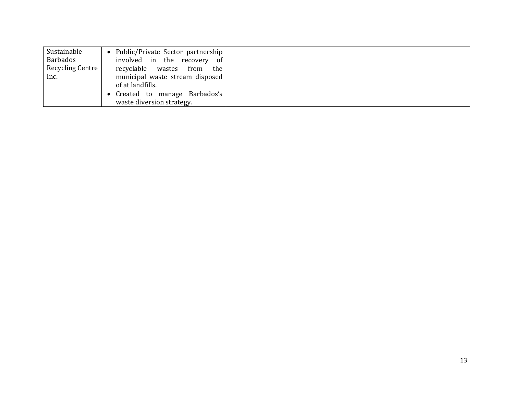| Sustainable      | Public/Private Sector partnership  <br>$\bullet$ |  |
|------------------|--------------------------------------------------|--|
| Barbados         | involved in the recovery<br>- of                 |  |
| Recycling Centre | recyclable wastes from<br>the                    |  |
| Inc.             | municipal waste stream disposed                  |  |
|                  | of at landfills.                                 |  |
|                  | Created to manage Barbados's                     |  |
|                  | waste diversion strategy.                        |  |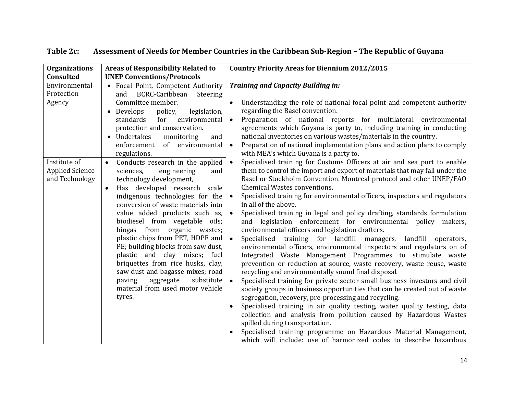| <b>Organizations</b><br>Consulted                        | <b>Areas of Responsibility Related to</b><br><b>UNEP Conventions/Protocols</b>                                                                                                                                                                                                                                                                                                                                                                                                                                                                                                                               | <b>Country Priority Areas for Biennium 2012/2015</b>                                                                                                                                                                                                                                                                                                                                                                                                                                                                                                                                                                                                                                                                                                                                                                                                                                                                                                                                                                                                                                                                                                                                                                                                                                                                                                                                                                                                                                        |
|----------------------------------------------------------|--------------------------------------------------------------------------------------------------------------------------------------------------------------------------------------------------------------------------------------------------------------------------------------------------------------------------------------------------------------------------------------------------------------------------------------------------------------------------------------------------------------------------------------------------------------------------------------------------------------|---------------------------------------------------------------------------------------------------------------------------------------------------------------------------------------------------------------------------------------------------------------------------------------------------------------------------------------------------------------------------------------------------------------------------------------------------------------------------------------------------------------------------------------------------------------------------------------------------------------------------------------------------------------------------------------------------------------------------------------------------------------------------------------------------------------------------------------------------------------------------------------------------------------------------------------------------------------------------------------------------------------------------------------------------------------------------------------------------------------------------------------------------------------------------------------------------------------------------------------------------------------------------------------------------------------------------------------------------------------------------------------------------------------------------------------------------------------------------------------------|
| Environmental<br>Protection<br>Agency                    | • Focal Point, Competent Authority<br><b>BCRC-Caribbean</b><br>Steering<br>and<br>Committee member.<br>• Develops<br>policy,<br>legislation,<br>environmental<br>standards<br>for<br>protection and conservation.<br>• Undertakes<br>monitoring<br>and<br>of environmental<br>enforcement<br>regulations.                                                                                                                                                                                                                                                                                                    | <b>Training and Capacity Building in:</b><br>Understanding the role of national focal point and competent authority<br>regarding the Basel convention.<br>Preparation of national reports for multilateral environmental<br>agreements which Guyana is party to, including training in conducting<br>national inventories on various wastes/materials in the country.<br>Preparation of national implementation plans and action plans to comply<br>with MEA's which Guyana is a party to.                                                                                                                                                                                                                                                                                                                                                                                                                                                                                                                                                                                                                                                                                                                                                                                                                                                                                                                                                                                                  |
| Institute of<br><b>Applied Science</b><br>and Technology | Conducts research in the applied<br>$\bullet$<br>sciences,<br>engineering<br>and<br>technology development,<br>Has developed research scale<br>$\bullet$<br>indigenous technologies for the<br>conversion of waste materials into<br>value added products such as,<br>biodiesel from vegetable oils;<br>biogas from<br>organic wastes;<br>plastic chips from PET, HDPE and<br>PE; building blocks from saw dust,<br>plastic and clay mixes; fuel<br>briquettes from rice husks, clay,<br>saw dust and bagasse mixes; road<br>aggregate<br>substitute<br>paving<br>material from used motor vehicle<br>tyres. | Specialised training for Customs Officers at air and sea port to enable<br>them to control the import and export of materials that may fall under the<br>Basel or Stockholm Convention. Montreal protocol and other UNEP/FAO<br><b>Chemical Wastes conventions.</b><br>Specialised training for environmental officers, inspectors and regulators<br>in all of the above.<br>Specialised training in legal and policy drafting, standards formulation<br>and legislation enforcement for environmental policy makers,<br>environmental officers and legislation drafters.<br>Specialised training for landfill managers, landfill operators,<br>$\bullet$<br>environmental officers, environmental inspectors and regulators on of<br>Integrated Waste Management Programmes to stimulate waste<br>prevention or reduction at source, waste recovery, waste reuse, waste<br>recycling and environmentally sound final disposal.<br>Specialised training for private sector small business investors and civil<br>$\bullet$<br>society groups in business opportunities that can be created out of waste<br>segregation, recovery, pre-processing and recycling.<br>Specialised training in air quality testing, water quality testing, data<br>collection and analysis from pollution caused by Hazardous Wastes<br>spilled during transportation.<br>Specialised training programme on Hazardous Material Management,<br>which will include: use of harmonized codes to describe hazardous |

#### **Table 2c: Assessment of Needs for Member Countries in the Caribbean Sub-Region – The Republic of Guyana**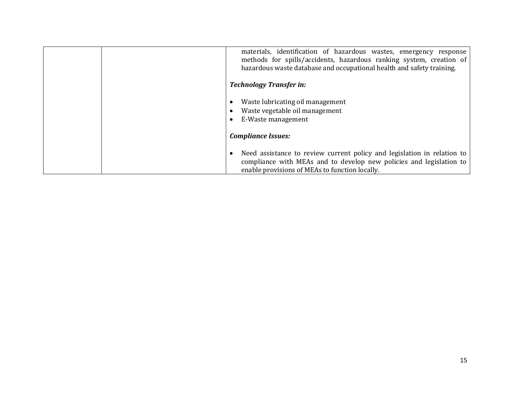| materials, identification of hazardous wastes, emergency response<br>methods for spills/accidents, hazardous ranking system, creation of<br>hazardous waste database and occupational health and safety training. |
|-------------------------------------------------------------------------------------------------------------------------------------------------------------------------------------------------------------------|
| <b>Technology Transfer in:</b>                                                                                                                                                                                    |
| Waste lubricating oil management<br>Waste vegetable oil management<br>E-Waste management                                                                                                                          |
| <b>Compliance Issues:</b>                                                                                                                                                                                         |
| Need assistance to review current policy and legislation in relation to<br>compliance with MEAs and to develop new policies and legislation to<br>enable provisions of MEAs to function locally.                  |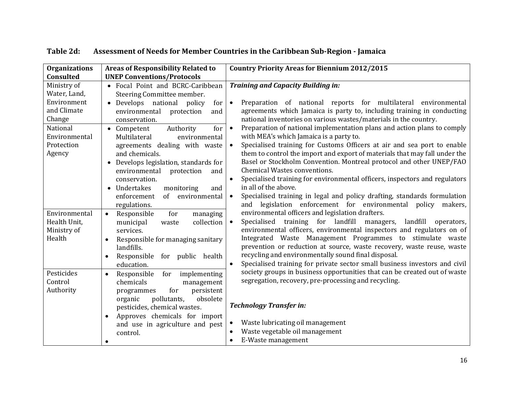| <b>Organizations</b><br>Consulted                                                                                        | <b>Areas of Responsibility Related to</b><br><b>UNEP Conventions/Protocols</b>                                                                                                                                                                                                                                                                                   | <b>Country Priority Areas for Biennium 2012/2015</b>                                                                                                                                                                                                                                                                                                                                                                                                                                                                                                                                                                                                                                                                                               |
|--------------------------------------------------------------------------------------------------------------------------|------------------------------------------------------------------------------------------------------------------------------------------------------------------------------------------------------------------------------------------------------------------------------------------------------------------------------------------------------------------|----------------------------------------------------------------------------------------------------------------------------------------------------------------------------------------------------------------------------------------------------------------------------------------------------------------------------------------------------------------------------------------------------------------------------------------------------------------------------------------------------------------------------------------------------------------------------------------------------------------------------------------------------------------------------------------------------------------------------------------------------|
| Ministry of<br>Water, Land,<br>Environment<br>and Climate<br>Change<br>National<br>Environmental<br>Protection<br>Agency | • Focal Point and BCRC-Caribbean<br>Steering Committee member.<br>• Develops national policy<br>for<br>environmental<br>protection<br>and<br>conservation.<br>for<br>Authority<br>• Competent<br>Multilateral<br>environmental<br>agreements dealing with waste<br>and chemicals.<br>• Develops legislation, standards for<br>environmental<br>protection<br>and | <b>Training and Capacity Building in:</b><br>Preparation of national reports for multilateral environmental<br>$\bullet$<br>agreements which Jamaica is party to, including training in conducting<br>national inventories on various wastes/materials in the country.<br>Preparation of national implementation plans and action plans to comply<br>$\bullet$<br>with MEA's which Jamaica is a party to.<br>Specialised training for Customs Officers at air and sea port to enable<br>them to control the import and export of materials that may fall under the<br>Basel or Stockholm Convention. Montreal protocol and other UNEP/FAO<br>Chemical Wastes conventions.                                                                          |
| Environmental<br>Health Unit,<br>Ministry of<br>Health                                                                   | conservation.<br>Undertakes<br>and<br>monitoring<br>of<br>environmental<br>enforcement<br>regulations.<br>Responsible<br>for<br>managing<br>$\bullet$<br>collection<br>municipal<br>waste<br>services.<br>Responsible for managing sanitary<br>$\bullet$<br>landfills.<br>Responsible<br>for public health<br>education.                                         | Specialised training for environmental officers, inspectors and regulators<br>$\bullet$<br>in all of the above.<br>Specialised training in legal and policy drafting, standards formulation<br>and legislation enforcement for environmental policy<br>makers,<br>environmental officers and legislation drafters.<br>Specialised training for landfill<br>landfill<br>managers,<br>operators,<br>environmental officers, environmental inspectors and regulators on of<br>Integrated Waste Management Programmes to stimulate waste<br>prevention or reduction at source, waste recovery, waste reuse, waste<br>recycling and environmentally sound final disposal.<br>Specialised training for private sector small business investors and civil |
| Pesticides<br>Control<br>Authority                                                                                       | Responsible<br>for<br>implementing<br>$\bullet$<br>chemicals<br>management<br>for<br>persistent<br>programmes<br>pollutants,<br>obsolete<br>organic<br>pesticides, chemical wastes.<br>Approves chemicals for import<br>and use in agriculture and pest<br>control.<br>$\bullet$                                                                                 | society groups in business opportunities that can be created out of waste<br>segregation, recovery, pre-processing and recycling.<br><b>Technology Transfer in:</b><br>Waste lubricating oil management<br>Waste vegetable oil management<br>E-Waste management                                                                                                                                                                                                                                                                                                                                                                                                                                                                                    |

**Table 2d: Assessment of Needs for Member Countries in the Caribbean Sub-Region - Jamaica**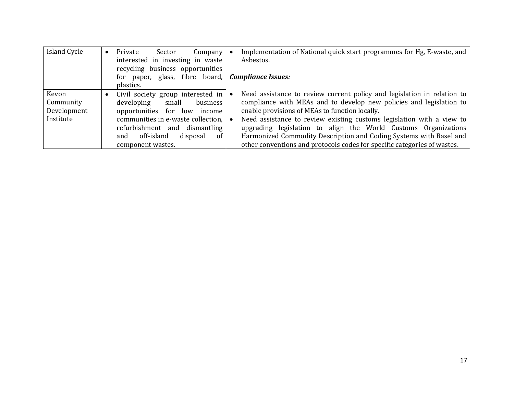| Island Cycle | Private<br>Sector<br>Company                             | Implementation of National quick start programmes for Hg, E-waste, and   |  |  |  |  |
|--------------|----------------------------------------------------------|--------------------------------------------------------------------------|--|--|--|--|
|              | interested in investing in waste                         | Asbestos.                                                                |  |  |  |  |
|              | recycling business opportunities                         |                                                                          |  |  |  |  |
|              | for paper, glass, fibre board, <b>Compliance Issues:</b> |                                                                          |  |  |  |  |
|              | plastics.                                                |                                                                          |  |  |  |  |
| Kevon        | Civil society group interested in                        | Need assistance to review current policy and legislation in relation to  |  |  |  |  |
| Community    | business<br>developing<br>small                          | compliance with MEAs and to develop new policies and legislation to      |  |  |  |  |
| Development  | opportunities for low income                             | enable provisions of MEAs to function locally.                           |  |  |  |  |
| Institute    | communities in e-waste collection,                       | Need assistance to review existing customs legislation with a view to    |  |  |  |  |
|              | refurbishment and dismantling                            | upgrading legislation to align the World Customs Organizations           |  |  |  |  |
|              | off-island<br>disposal<br>and<br>of                      | Harmonized Commodity Description and Coding Systems with Basel and       |  |  |  |  |
|              | component wastes.                                        | other conventions and protocols codes for specific categories of wastes. |  |  |  |  |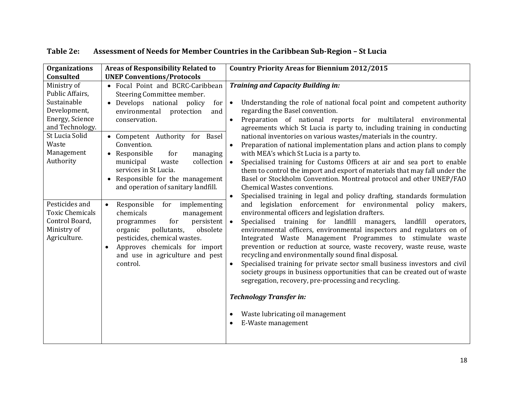| <b>Organizations</b><br>Consulted                                                                                                                                                                                                                      | <b>Areas of Responsibility Related to</b><br><b>UNEP Conventions/Protocols</b>                                                                                                                                                                                                                                                                                                                                                                                                                                                                                                                                                                                                                    | <b>Country Priority Areas for Biennium 2012/2015</b>                                                                                                                                                                                                                                                                                                                                                                                                                                                                                                                                                                                                                                                                                                                                                                                                                                                                                                                                                                                                                                                                                                                                                                                                                                                                                                                                                                                                                                                                                                                                                                                                                                                       |  |  |  |  |
|--------------------------------------------------------------------------------------------------------------------------------------------------------------------------------------------------------------------------------------------------------|---------------------------------------------------------------------------------------------------------------------------------------------------------------------------------------------------------------------------------------------------------------------------------------------------------------------------------------------------------------------------------------------------------------------------------------------------------------------------------------------------------------------------------------------------------------------------------------------------------------------------------------------------------------------------------------------------|------------------------------------------------------------------------------------------------------------------------------------------------------------------------------------------------------------------------------------------------------------------------------------------------------------------------------------------------------------------------------------------------------------------------------------------------------------------------------------------------------------------------------------------------------------------------------------------------------------------------------------------------------------------------------------------------------------------------------------------------------------------------------------------------------------------------------------------------------------------------------------------------------------------------------------------------------------------------------------------------------------------------------------------------------------------------------------------------------------------------------------------------------------------------------------------------------------------------------------------------------------------------------------------------------------------------------------------------------------------------------------------------------------------------------------------------------------------------------------------------------------------------------------------------------------------------------------------------------------------------------------------------------------------------------------------------------------|--|--|--|--|
| Ministry of<br>Public Affairs,<br>Sustainable<br>Development,<br>Energy, Science<br>and Technology.<br>St Lucia Solid<br>Waste<br>Management<br>Authority<br>Pesticides and<br><b>Toxic Chemicals</b><br>Control Board,<br>Ministry of<br>Agriculture. | • Focal Point and BCRC-Caribbean<br>Steering Committee member.<br>• Develops national policy<br>for<br>environmental<br>protection<br>and<br>conservation.<br>• Competent Authority for Basel<br>Convention.<br>• Responsible<br>for<br>managing<br>municipal<br>collection  <br>waste<br>services in St Lucia.<br>Responsible for the management<br>$\bullet$<br>and operation of sanitary landfill.<br>Responsible<br>for<br>implementing<br>$\bullet$<br>chemicals<br>management<br>for<br>$persistent \,   \, \bullet \,$<br>programmes<br>organic<br>pollutants,<br>obsolete<br>pesticides, chemical wastes.<br>Approves chemicals for import<br>and use in agriculture and pest<br>control. | <b>Training and Capacity Building in:</b><br>Understanding the role of national focal point and competent authority<br>$\bullet$<br>regarding the Basel convention.<br>Preparation of national reports for multilateral environmental<br>$\bullet$<br>agreements which St Lucia is party to, including training in conducting<br>national inventories on various wastes/materials in the country.<br>Preparation of national implementation plans and action plans to comply<br>with MEA's which St Lucia is a party to.<br>Specialised training for Customs Officers at air and sea port to enable<br>$\bullet$<br>them to control the import and export of materials that may fall under the<br>Basel or Stockholm Convention. Montreal protocol and other UNEP/FAO<br><b>Chemical Wastes conventions.</b><br>Specialised training in legal and policy drafting, standards formulation<br>$\bullet$<br>and legislation enforcement for environmental policy makers,<br>environmental officers and legislation drafters.<br>training for landfill<br>landfill<br>Specialised<br>managers,<br>operators,<br>environmental officers, environmental inspectors and regulators on of<br>Integrated Waste Management Programmes to stimulate waste<br>prevention or reduction at source, waste recovery, waste reuse, waste<br>recycling and environmentally sound final disposal.<br>Specialised training for private sector small business investors and civil<br>$\bullet$<br>society groups in business opportunities that can be created out of waste<br>segregation, recovery, pre-processing and recycling.<br><b>Technology Transfer in:</b><br>Waste lubricating oil management<br>E-Waste management |  |  |  |  |
|                                                                                                                                                                                                                                                        |                                                                                                                                                                                                                                                                                                                                                                                                                                                                                                                                                                                                                                                                                                   |                                                                                                                                                                                                                                                                                                                                                                                                                                                                                                                                                                                                                                                                                                                                                                                                                                                                                                                                                                                                                                                                                                                                                                                                                                                                                                                                                                                                                                                                                                                                                                                                                                                                                                            |  |  |  |  |

**Table 2e: Assessment of Needs for Member Countries in the Caribbean Sub-Region – St Lucia**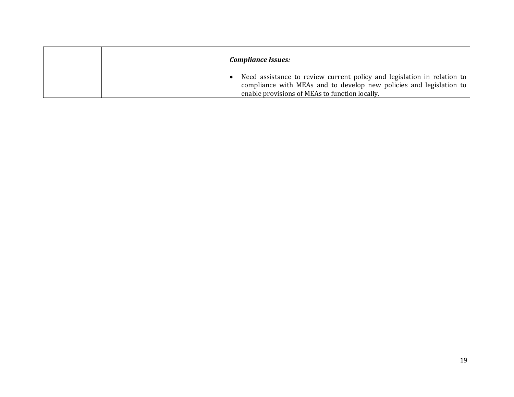|  | <b>Compliance Issues:</b>                                                                                                                                                                        |
|--|--------------------------------------------------------------------------------------------------------------------------------------------------------------------------------------------------|
|  | Need assistance to review current policy and legislation in relation to<br>compliance with MEAs and to develop new policies and legislation to<br>enable provisions of MEAs to function locally. |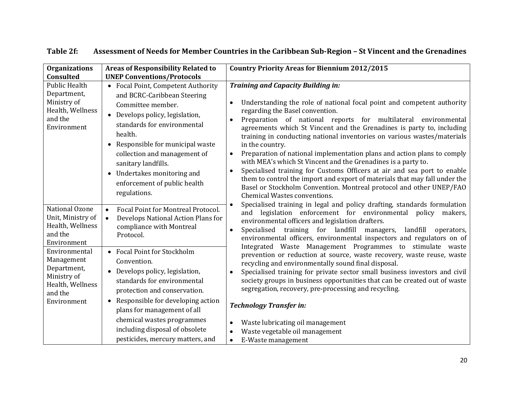| <b>Organizations</b><br>Consulted                                                                                                                                                     | <b>Areas of Responsibility Related to</b><br><b>UNEP Conventions/Protocols</b>                                                                                                                                                                                                                                                                          | <b>Country Priority Areas for Biennium 2012/2015</b>                                                                                                                                                                                                                                                                                                                                                                                                                                                                                                                                                                                                                                                                                                                                                                                                                                                                                  |
|---------------------------------------------------------------------------------------------------------------------------------------------------------------------------------------|---------------------------------------------------------------------------------------------------------------------------------------------------------------------------------------------------------------------------------------------------------------------------------------------------------------------------------------------------------|---------------------------------------------------------------------------------------------------------------------------------------------------------------------------------------------------------------------------------------------------------------------------------------------------------------------------------------------------------------------------------------------------------------------------------------------------------------------------------------------------------------------------------------------------------------------------------------------------------------------------------------------------------------------------------------------------------------------------------------------------------------------------------------------------------------------------------------------------------------------------------------------------------------------------------------|
| <b>Public Health</b><br>Department,<br>Ministry of<br>Health, Wellness<br>and the<br>Environment<br>National Ozone<br>Unit, Ministry of<br>Health, Wellness<br>and the<br>Environment | • Focal Point, Competent Authority<br>and BCRC-Caribbean Steering<br>Committee member.<br>Develops policy, legislation,<br>standards for environmental<br>health.<br>• Responsible for municipal waste<br>collection and management of<br>sanitary landfills.<br>Undertakes monitoring and<br>$\bullet$<br>enforcement of public health<br>regulations. | <b>Training and Capacity Building in:</b><br>Understanding the role of national focal point and competent authority<br>regarding the Basel convention.<br>Preparation of national reports for multilateral environmental<br>agreements which St Vincent and the Grenadines is party to, including<br>training in conducting national inventories on various wastes/materials<br>in the country.<br>Preparation of national implementation plans and action plans to comply<br>$\bullet$<br>with MEA's which St Vincent and the Grenadines is a party to.<br>Specialised training for Customs Officers at air and sea port to enable<br>$\bullet$<br>them to control the import and export of materials that may fall under the<br>Basel or Stockholm Convention. Montreal protocol and other UNEP/FAO<br><b>Chemical Wastes conventions.</b><br>Specialised training in legal and policy drafting, standards formulation<br>$\bullet$ |
|                                                                                                                                                                                       | Focal Point for Montreal Protocol.<br>$\bullet$<br>Develops National Action Plans for<br>$\bullet$<br>compliance with Montreal<br>Protocol.                                                                                                                                                                                                             | and legislation enforcement for environmental policy makers,<br>environmental officers and legislation drafters.<br>training for landfill<br>Specialised<br>landfill<br>managers,<br>operators,<br>$\bullet$<br>environmental officers, environmental inspectors and regulators on of                                                                                                                                                                                                                                                                                                                                                                                                                                                                                                                                                                                                                                                 |
| Environmental<br>Management<br>Department,<br>Ministry of<br>Health, Wellness<br>and the<br>Environment                                                                               | • Focal Point for Stockholm<br>Convention.<br>Develops policy, legislation,<br>$\bullet$<br>standards for environmental<br>protection and conservation.<br>Responsible for developing action<br>plans for management of all<br>chemical wastes programmes<br>including disposal of obsolete<br>pesticides, mercury matters, and                         | Integrated Waste Management Programmes to stimulate waste<br>prevention or reduction at source, waste recovery, waste reuse, waste<br>recycling and environmentally sound final disposal.<br>Specialised training for private sector small business investors and civil<br>$\bullet$<br>society groups in business opportunities that can be created out of waste<br>segregation, recovery, pre-processing and recycling.<br><b>Technology Transfer in:</b><br>Waste lubricating oil management<br>Waste vegetable oil management<br>E-Waste management<br>$\bullet$                                                                                                                                                                                                                                                                                                                                                                  |

#### **Table 2f: Assessment of Needs for Member Countries in the Caribbean Sub-Region – St Vincent and the Grenadines**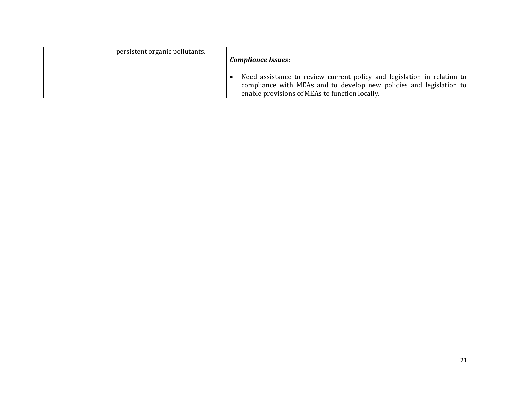| persistent organic pollutants. | <b>Compliance Issues:</b>                                                                                                                                                                        |
|--------------------------------|--------------------------------------------------------------------------------------------------------------------------------------------------------------------------------------------------|
|                                | Need assistance to review current policy and legislation in relation to<br>compliance with MEAs and to develop new policies and legislation to<br>enable provisions of MEAs to function locally. |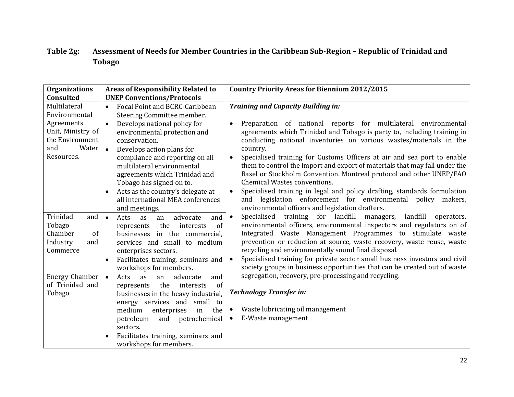#### **Table 2g: Assessment of Needs for Member Countries in the Caribbean Sub-Region – Republic of Trinidad and Tobago**

| <b>Organizations</b>                                                                                              | <b>Areas of Responsibility Related to</b>                                                                                                                                                                                                                                                                                                       | <b>Country Priority Areas for Biennium 2012/2015</b>                                                                                                                                                                                                                                                                                                                                                                                                                                                                                                               |  |  |  |  |
|-------------------------------------------------------------------------------------------------------------------|-------------------------------------------------------------------------------------------------------------------------------------------------------------------------------------------------------------------------------------------------------------------------------------------------------------------------------------------------|--------------------------------------------------------------------------------------------------------------------------------------------------------------------------------------------------------------------------------------------------------------------------------------------------------------------------------------------------------------------------------------------------------------------------------------------------------------------------------------------------------------------------------------------------------------------|--|--|--|--|
| <b>Consulted</b>                                                                                                  | <b>UNEP Conventions/Protocols</b>                                                                                                                                                                                                                                                                                                               |                                                                                                                                                                                                                                                                                                                                                                                                                                                                                                                                                                    |  |  |  |  |
| Multilateral<br>Environmental<br>Agreements<br>Unit, Ministry of<br>the Environment<br>and<br>Water<br>Resources. | Focal Point and BCRC-Caribbean<br>$\bullet$<br>Steering Committee member.<br>Develops national policy for<br>$\bullet$<br>environmental protection and<br>conservation.<br>Develops action plans for<br>$\bullet$<br>compliance and reporting on all<br>multilateral environmental<br>agreements which Trinidad and<br>Tobago has signed on to. | <b>Training and Capacity Building in:</b><br>Preparation of national reports for multilateral environmental<br>$\bullet$<br>agreements which Trinidad and Tobago is party to, including training in<br>conducting national inventories on various wastes/materials in the<br>country.<br>Specialised training for Customs Officers at air and sea port to enable<br>$\bullet$<br>them to control the import and export of materials that may fall under the<br>Basel or Stockholm Convention. Montreal protocol and other UNEP/FAO<br>Chemical Wastes conventions. |  |  |  |  |
|                                                                                                                   | Acts as the country's delegate at<br>all international MEA conferences<br>and meetings.                                                                                                                                                                                                                                                         | Specialised training in legal and policy drafting, standards formulation<br>$\bullet$<br>and legislation enforcement for environmental policy makers,<br>environmental officers and legislation drafters.                                                                                                                                                                                                                                                                                                                                                          |  |  |  |  |
| Trinidad<br>and<br>Tobago<br>Chamber<br>of<br>Industry<br>and<br>Commerce                                         | $\bullet$<br>Acts<br>as<br>advocate<br>and<br>an<br>the<br>interests<br>of<br>represents<br>businesses in the commercial,<br>services and small to medium<br>enterprises sectors.<br>Facilitates training, seminars and<br>workshops for members.                                                                                               | Specialised training for landfill<br>landfill operators,<br>managers,<br>$\bullet$<br>environmental officers, environmental inspectors and regulators on of<br>Integrated Waste Management Programmes to stimulate waste<br>prevention or reduction at source, waste recovery, waste reuse, waste<br>recycling and environmentally sound final disposal.<br>Specialised training for private sector small business investors and civil<br>$\bullet$<br>society groups in business opportunities that can be created out of waste                                   |  |  |  |  |
| <b>Energy Chamber</b><br>of Trinidad and<br>Tobago                                                                | advocate<br>$\bullet$<br>Acts<br>and<br><b>as</b><br>an<br>the<br>of<br>interests<br>represents<br>businesses in the heavy industrial,<br>energy services and small to<br>the<br>medium<br>enterprises<br>in<br>and<br>petrochemical<br>petroleum<br>sectors.<br>Facilitates training, seminars and<br>workshops for members.                   | segregation, recovery, pre-processing and recycling.<br><b>Technology Transfer in:</b><br>Waste lubricating oil management<br>E-Waste management                                                                                                                                                                                                                                                                                                                                                                                                                   |  |  |  |  |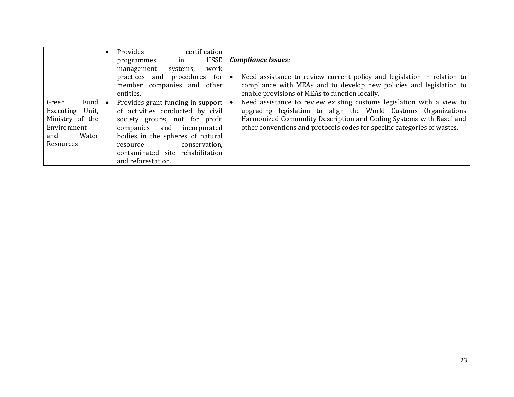|                                                                                                    | $\bullet$ | certification<br>Provides<br><b>HSSE</b><br>programmes<br>in<br>work<br>management<br>systems,<br>for<br>practices<br>and<br>procedures<br>member companies and<br>other<br>entities.                                                                                     | <b>Compliance Issues:</b><br>Need assistance to review current policy and legislation in relation to<br>compliance with MEAs and to develop new policies and legislation to<br>enable provisions of MEAs to function locally.                                                             |
|----------------------------------------------------------------------------------------------------|-----------|---------------------------------------------------------------------------------------------------------------------------------------------------------------------------------------------------------------------------------------------------------------------------|-------------------------------------------------------------------------------------------------------------------------------------------------------------------------------------------------------------------------------------------------------------------------------------------|
| Fund<br>Green<br>Unit,<br>Executing<br>Ministry of the<br>Environment<br>Water<br>and<br>Resources |           | Provides grant funding in support<br>of activities conducted by civil<br>society groups, not for profit<br>incorporated<br>and<br>companies<br>bodies in the spheres of natural<br>conservation,<br>resource<br>rehabilitation<br>contaminated site<br>and reforestation. | Need assistance to review existing customs legislation with a view to<br>upgrading legislation to align the World Customs Organizations<br>Harmonized Commodity Description and Coding Systems with Basel and<br>other conventions and protocols codes for specific categories of wastes. |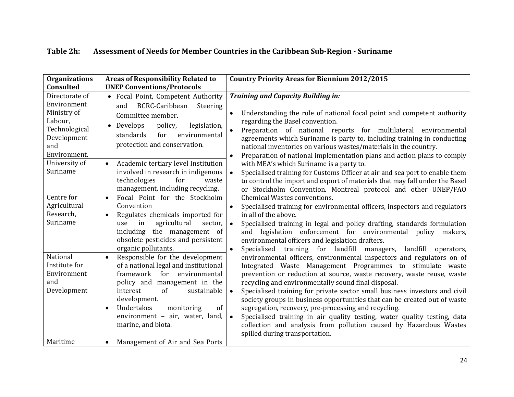| Table 2h: | Assessment of Needs for Member Countries in the Caribbean Sub-Region - Suriname |  |
|-----------|---------------------------------------------------------------------------------|--|
|-----------|---------------------------------------------------------------------------------|--|

| <b>Organizations</b><br><b>Consulted</b>                                                                                                                                                           | <b>Areas of Responsibility Related to</b><br><b>UNEP Conventions/Protocols</b>                                                                                                                                                                                                                                                                                                                                                                                                                                                                  | <b>Country Priority Areas for Biennium 2012/2015</b>                                                                                                                                                                                                                                                                                                                                                                                                                                                                                                                                                                                                                                                                                                                                                                                                                                                                                                                                                                                                                          |  |  |  |  |
|----------------------------------------------------------------------------------------------------------------------------------------------------------------------------------------------------|-------------------------------------------------------------------------------------------------------------------------------------------------------------------------------------------------------------------------------------------------------------------------------------------------------------------------------------------------------------------------------------------------------------------------------------------------------------------------------------------------------------------------------------------------|-------------------------------------------------------------------------------------------------------------------------------------------------------------------------------------------------------------------------------------------------------------------------------------------------------------------------------------------------------------------------------------------------------------------------------------------------------------------------------------------------------------------------------------------------------------------------------------------------------------------------------------------------------------------------------------------------------------------------------------------------------------------------------------------------------------------------------------------------------------------------------------------------------------------------------------------------------------------------------------------------------------------------------------------------------------------------------|--|--|--|--|
| Directorate of<br>Environment<br>Ministry of<br>Labour,<br>Technological<br>Development<br>and<br>Environment.<br>University of<br>Suriname<br>Centre for<br>Agricultural<br>Research,<br>Suriname | • Focal Point, Competent Authority<br>BCRC-Caribbean<br>Steering<br>and<br>Committee member.<br>• Develops<br>policy,<br>legislation,<br>environmental<br>standards<br>for<br>protection and conservation.<br>Academic tertiary level Institution<br>$\bullet$<br>involved in research in indigenous<br>technologies<br>for<br>waste<br>management, including recycling.<br>Focal Point for the Stockholm<br>$\bullet$<br>Convention<br>Regulates chemicals imported for<br>in<br>agricultural<br>sector,<br>use<br>including the management of | <b>Training and Capacity Building in:</b><br>Understanding the role of national focal point and competent authority<br>regarding the Basel convention.<br>$\bullet$<br>Preparation of national reports for multilateral environmental<br>agreements which Suriname is party to, including training in conducting<br>national inventories on various wastes/materials in the country.<br>Preparation of national implementation plans and action plans to comply<br>$\bullet$<br>with MEA's which Suriname is a party to.<br>Specialised training for Customs Officer at air and sea port to enable them<br>$\bullet$<br>to control the import and export of materials that may fall under the Basel<br>or Stockholm Convention. Montreal protocol and other UNEP/FAO<br><b>Chemical Wastes conventions.</b><br>Specialised training for environmental officers, inspectors and regulators<br>in all of the above.<br>Specialised training in legal and policy drafting, standards formulation<br>$\bullet$<br>and legislation enforcement for environmental policy<br>makers. |  |  |  |  |
| National<br>Institute for<br>Environment<br>and<br>Development<br>Maritime                                                                                                                         | obsolete pesticides and persistent<br>organic pollutants.<br>Responsible for the development<br>$\bullet$<br>of a national legal and institutional<br>framework for environmental<br>policy and management in the<br>interest<br>of<br>sustainable<br>development.<br>Undertakes<br>monitoring<br>of<br>$\bullet$<br>environment - air, water, land,<br>marine, and biota.<br>Management of Air and Sea Ports<br>$\bullet$                                                                                                                      | environmental officers and legislation drafters.<br>Specialised training for landfill managers, landfill<br>operators,<br>$\bullet$<br>environmental officers, environmental inspectors and regulators on of<br>Integrated Waste Management Programmes to stimulate waste<br>prevention or reduction at source, waste recovery, waste reuse, waste<br>recycling and environmentally sound final disposal.<br>Specialised training for private sector small business investors and civil<br>$\bullet$<br>society groups in business opportunities that can be created out of waste<br>segregation, recovery, pre-processing and recycling.<br>Specialised training in air quality testing, water quality testing, data<br>$\bullet$<br>collection and analysis from pollution caused by Hazardous Wastes<br>spilled during transportation.                                                                                                                                                                                                                                     |  |  |  |  |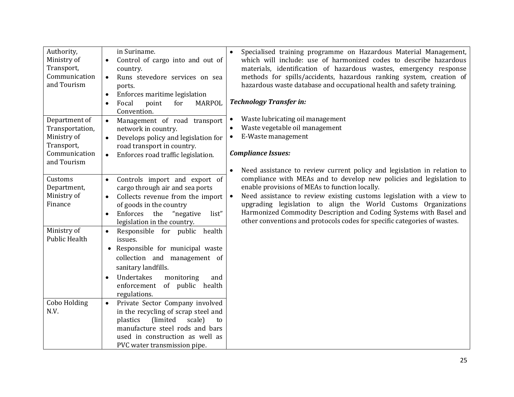| Authority,<br>Ministry of<br>Transport,<br>Communication<br>and Tourism | in Suriname.<br>Control of cargo into and out of<br>$\bullet$<br>country.<br>Runs stevedore services on sea<br>$\bullet$<br>ports.<br>Enforces maritime legislation<br>$\bullet$<br>for<br><b>MARPOL</b><br>Focal<br>point<br>$\bullet$<br>Convention. | Specialised training programme on Hazardous Material Management,<br>$\bullet$<br>which will include: use of harmonized codes to describe hazardous<br>materials, identification of hazardous wastes, emergency response<br>methods for spills/accidents, hazardous ranking system, creation of<br>hazardous waste database and occupational health and safety training.<br><b>Technology Transfer in:</b> |
|-------------------------------------------------------------------------|--------------------------------------------------------------------------------------------------------------------------------------------------------------------------------------------------------------------------------------------------------|-----------------------------------------------------------------------------------------------------------------------------------------------------------------------------------------------------------------------------------------------------------------------------------------------------------------------------------------------------------------------------------------------------------|
| Department of<br>Transportation,                                        | Management of road transport<br>$\bullet$<br>network in country.                                                                                                                                                                                       | Waste lubricating oil management<br>$\bullet$<br>Waste vegetable oil management                                                                                                                                                                                                                                                                                                                           |
| Ministry of                                                             | Develops policy and legislation for<br>$\bullet$                                                                                                                                                                                                       | E-Waste management<br>$\bullet$                                                                                                                                                                                                                                                                                                                                                                           |
| Transport,                                                              | road transport in country.                                                                                                                                                                                                                             |                                                                                                                                                                                                                                                                                                                                                                                                           |
| Communication<br>and Tourism                                            | Enforces road traffic legislation.<br>$\bullet$                                                                                                                                                                                                        | <b>Compliance Issues:</b>                                                                                                                                                                                                                                                                                                                                                                                 |
|                                                                         |                                                                                                                                                                                                                                                        | Need assistance to review current policy and legislation in relation to<br>$\bullet$                                                                                                                                                                                                                                                                                                                      |
| Customs                                                                 | Controls import and export of<br>$\bullet$                                                                                                                                                                                                             | compliance with MEAs and to develop new policies and legislation to                                                                                                                                                                                                                                                                                                                                       |
| Department,                                                             | cargo through air and sea ports                                                                                                                                                                                                                        | enable provisions of MEAs to function locally.                                                                                                                                                                                                                                                                                                                                                            |
| Ministry of<br>Finance                                                  | Collects revenue from the import                                                                                                                                                                                                                       | Need assistance to review existing customs legislation with a view to<br>upgrading legislation to align the World Customs Organizations                                                                                                                                                                                                                                                                   |
|                                                                         | of goods in the country<br>Enforces<br>the<br>"negative<br>list"                                                                                                                                                                                       | Harmonized Commodity Description and Coding Systems with Basel and                                                                                                                                                                                                                                                                                                                                        |
|                                                                         | legislation in the country.                                                                                                                                                                                                                            | other conventions and protocols codes for specific categories of wastes.                                                                                                                                                                                                                                                                                                                                  |
| Ministry of                                                             | Responsible for public health<br>$\bullet$                                                                                                                                                                                                             |                                                                                                                                                                                                                                                                                                                                                                                                           |
| <b>Public Health</b>                                                    | issues.                                                                                                                                                                                                                                                |                                                                                                                                                                                                                                                                                                                                                                                                           |
|                                                                         | Responsible for municipal waste                                                                                                                                                                                                                        |                                                                                                                                                                                                                                                                                                                                                                                                           |
|                                                                         | collection and management of                                                                                                                                                                                                                           |                                                                                                                                                                                                                                                                                                                                                                                                           |
|                                                                         | sanitary landfills.                                                                                                                                                                                                                                    |                                                                                                                                                                                                                                                                                                                                                                                                           |
|                                                                         | Undertakes<br>monitoring<br>and                                                                                                                                                                                                                        |                                                                                                                                                                                                                                                                                                                                                                                                           |
|                                                                         | enforcement of public health                                                                                                                                                                                                                           |                                                                                                                                                                                                                                                                                                                                                                                                           |
|                                                                         | regulations.                                                                                                                                                                                                                                           |                                                                                                                                                                                                                                                                                                                                                                                                           |
| Cobo Holding<br>N.V.                                                    | Private Sector Company involved<br>$\bullet$                                                                                                                                                                                                           |                                                                                                                                                                                                                                                                                                                                                                                                           |
|                                                                         | in the recycling of scrap steel and<br>plastics<br>(limited<br>scale)<br>to                                                                                                                                                                            |                                                                                                                                                                                                                                                                                                                                                                                                           |
|                                                                         | manufacture steel rods and bars                                                                                                                                                                                                                        |                                                                                                                                                                                                                                                                                                                                                                                                           |
|                                                                         | used in construction as well as                                                                                                                                                                                                                        |                                                                                                                                                                                                                                                                                                                                                                                                           |
|                                                                         | PVC water transmission pipe.                                                                                                                                                                                                                           |                                                                                                                                                                                                                                                                                                                                                                                                           |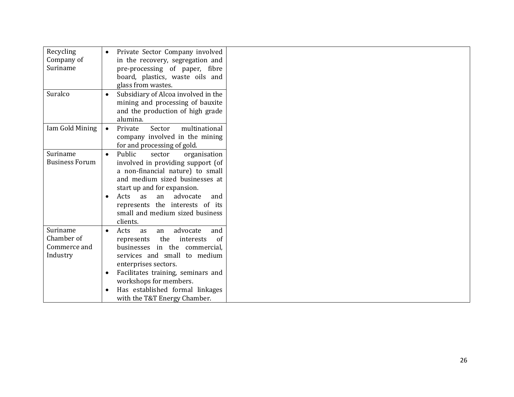| Recycling<br>Company of                            | Private Sector Company involved<br>in the recovery, segregation and                                                                                                                                                                                                                                                     |  |
|----------------------------------------------------|-------------------------------------------------------------------------------------------------------------------------------------------------------------------------------------------------------------------------------------------------------------------------------------------------------------------------|--|
| Suriname                                           | pre-processing of paper, fibre<br>board, plastics, waste oils and<br>glass from wastes.                                                                                                                                                                                                                                 |  |
| Suralco                                            | Subsidiary of Alcoa involved in the<br>mining and processing of bauxite<br>and the production of high grade<br>alumina.                                                                                                                                                                                                 |  |
| Iam Gold Mining                                    | multinational<br>Private<br>Sector<br>$\bullet$<br>company involved in the mining<br>for and processing of gold.                                                                                                                                                                                                        |  |
| Suriname<br><b>Business Forum</b>                  | Public<br>sector<br>organisation<br>$\bullet$<br>involved in providing support (of<br>a non-financial nature) to small<br>and medium sized businesses at<br>start up and for expansion.<br>advocate<br>Acts<br>as<br>an<br>and<br>represents the interests of its<br>small and medium sized business<br>clients.        |  |
| Suriname<br>Chamber of<br>Commerce and<br>Industry | advocate<br>Acts<br>as<br>and<br>an<br>$\bullet$<br>the<br>interests<br>of<br>represents<br>in the commercial,<br>businesses<br>services and small to medium<br>enterprises sectors.<br>Facilitates training, seminars and<br>workshops for members.<br>Has established formal linkages<br>with the T&T Energy Chamber. |  |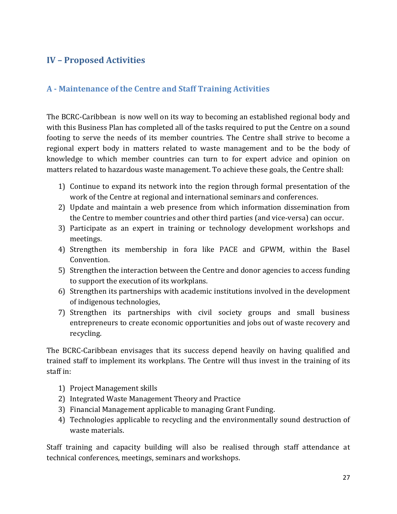#### <span id="page-39-0"></span>**IV – Proposed Activities**

#### <span id="page-39-1"></span>**A - Maintenance of the Centre and Staff Training Activities**

The BCRC-Caribbean is now well on its way to becoming an established regional body and with this Business Plan has completed all of the tasks required to put the Centre on a sound footing to serve the needs of its member countries. The Centre shall strive to become a regional expert body in matters related to waste management and to be the body of knowledge to which member countries can turn to for expert advice and opinion on matters related to hazardous waste management. To achieve these goals, the Centre shall:

- 1) Continue to expand its network into the region through formal presentation of the work of the Centre at regional and international seminars and conferences.
- 2) Update and maintain a web presence from which information dissemination from the Centre to member countries and other third parties (and vice-versa) can occur.
- 3) Participate as an expert in training or technology development workshops and meetings.
- 4) Strengthen its membership in fora like PACE and GPWM, within the Basel Convention.
- 5) Strengthen the interaction between the Centre and donor agencies to access funding to support the execution of its workplans.
- 6) Strengthen its partnerships with academic institutions involved in the development of indigenous technologies,
- 7) Strengthen its partnerships with civil society groups and small business entrepreneurs to create economic opportunities and jobs out of waste recovery and recycling.

The BCRC-Caribbean envisages that its success depend heavily on having qualified and trained staff to implement its workplans. The Centre will thus invest in the training of its staff in:

- 1) Project Management skills
- 2) Integrated Waste Management Theory and Practice
- 3) Financial Management applicable to managing Grant Funding.
- 4) Technologies applicable to recycling and the environmentally sound destruction of waste materials.

Staff training and capacity building will also be realised through staff attendance at technical conferences, meetings, seminars and workshops.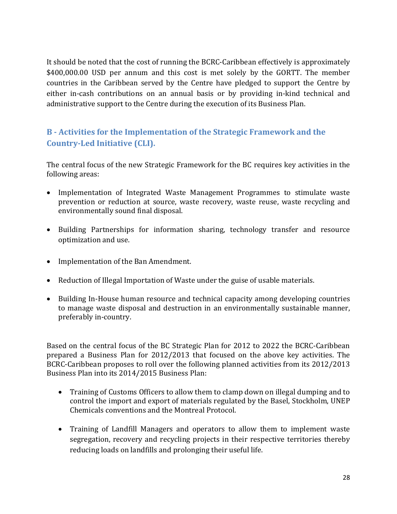It should be noted that the cost of running the BCRC-Caribbean effectively is approximately \$400,000.00 USD per annum and this cost is met solely by the GORTT. The member countries in the Caribbean served by the Centre have pledged to support the Centre by either in-cash contributions on an annual basis or by providing in-kind technical and administrative support to the Centre during the execution of its Business Plan.

#### <span id="page-40-0"></span>**B - Activities for the Implementation of the Strategic Framework and the Country-Led Initiative (CLI).**

The central focus of the new Strategic Framework for the BC requires key activities in the following areas:

- Implementation of Integrated Waste Management Programmes to stimulate waste prevention or reduction at source, waste recovery, waste reuse, waste recycling and environmentally sound final disposal.
- Building Partnerships for information sharing, technology transfer and resource optimization and use.
- Implementation of the Ban Amendment.
- Reduction of Illegal Importation of Waste under the guise of usable materials.
- Building In-House human resource and technical capacity among developing countries to manage waste disposal and destruction in an environmentally sustainable manner, preferably in-country.

Based on the central focus of the BC Strategic Plan for 2012 to 2022 the BCRC-Caribbean prepared a Business Plan for 2012/2013 that focused on the above key activities. The BCRC-Caribbean proposes to roll over the following planned activities from its 2012/2013 Business Plan into its 2014/2015 Business Plan:

- Training of Customs Officers to allow them to clamp down on illegal dumping and to control the import and export of materials regulated by the Basel, Stockholm, UNEP Chemicals conventions and the Montreal Protocol.
- Training of Landfill Managers and operators to allow them to implement waste segregation, recovery and recycling projects in their respective territories thereby reducing loads on landfills and prolonging their useful life.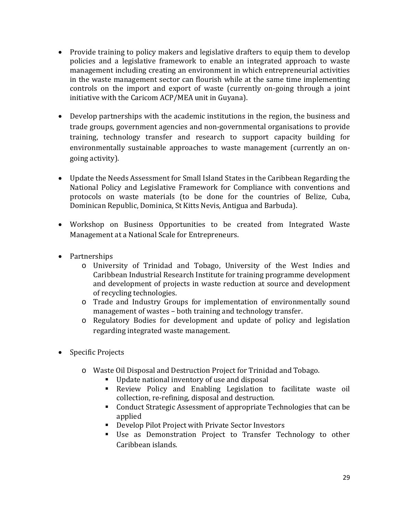- Provide training to policy makers and legislative drafters to equip them to develop policies and a legislative framework to enable an integrated approach to waste management including creating an environment in which entrepreneurial activities in the waste management sector can flourish while at the same time implementing controls on the import and export of waste (currently on-going through a joint initiative with the Caricom ACP/MEA unit in Guyana).
- Develop partnerships with the academic institutions in the region, the business and trade groups, government agencies and non-governmental organisations to provide training, technology transfer and research to support capacity building for environmentally sustainable approaches to waste management (currently an ongoing activity).
- Update the Needs Assessment for Small Island States in the Caribbean Regarding the National Policy and Legislative Framework for Compliance with conventions and protocols on waste materials (to be done for the countries of Belize, Cuba, Dominican Republic, Dominica, St Kitts Nevis, Antigua and Barbuda).
- Workshop on Business Opportunities to be created from Integrated Waste Management at a National Scale for Entrepreneurs.
- Partnerships
	- o University of Trinidad and Tobago, University of the West Indies and Caribbean Industrial Research Institute for training programme development and development of projects in waste reduction at source and development of recycling technologies.
	- o Trade and Industry Groups for implementation of environmentally sound management of wastes – both training and technology transfer.
	- o Regulatory Bodies for development and update of policy and legislation regarding integrated waste management.
- Specific Projects
	- o Waste Oil Disposal and Destruction Project for Trinidad and Tobago.
		- Update national inventory of use and disposal<br>■ Review Policy and Enabling Legislation t
		- Review Policy and Enabling Legislation to facilitate waste oil collection, re-refining, disposal and destruction.
		- Conduct Strategic Assessment of appropriate Technologies that can be applied
		- Develop Pilot Project with Private Sector Investors
		- Use as Demonstration Project to Transfer Technology to other Caribbean islands.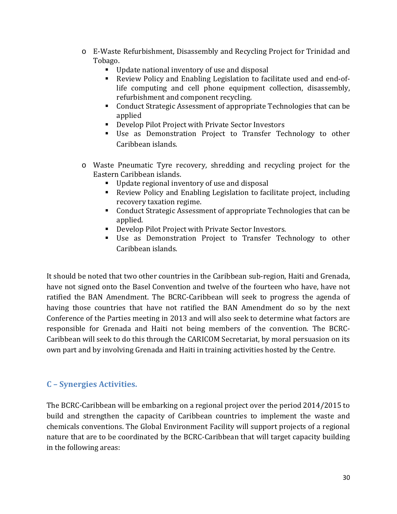- o E-Waste Refurbishment, Disassembly and Recycling Project for Trinidad and Tobago.
	- Update national inventory of use and disposal<br>■ Review Policy and Enabling Legislation to fac
	- Review Policy and Enabling Legislation to facilitate used and end-oflife computing and cell phone equipment collection, disassembly, refurbishment and component recycling.
	- Conduct Strategic Assessment of appropriate Technologies that can be applied
	- Develop Pilot Project with Private Sector Investors
	- Use as Demonstration Project to Transfer Technology to other Caribbean islands.
- o Waste Pneumatic Tyre recovery, shredding and recycling project for the Eastern Caribbean islands.
	- Update regional inventory of use and disposal
	- Review Policy and Enabling Legislation to facilitate project, including recovery taxation regime.
	- Conduct Strategic Assessment of appropriate Technologies that can be applied.
	- Develop Pilot Project with Private Sector Investors.
	- Use as Demonstration Project to Transfer Technology to other Caribbean islands.

It should be noted that two other countries in the Caribbean sub-region, Haiti and Grenada, have not signed onto the Basel Convention and twelve of the fourteen who have, have not ratified the BAN Amendment. The BCRC-Caribbean will seek to progress the agenda of having those countries that have not ratified the BAN Amendment do so by the next Conference of the Parties meeting in 2013 and will also seek to determine what factors are responsible for Grenada and Haiti not being members of the convention. The BCRC-Caribbean will seek to do this through the CARICOM Secretariat, by moral persuasion on its own part and by involving Grenada and Haiti in training activities hosted by the Centre.

#### <span id="page-42-0"></span>**C – Synergies Activities.**

The BCRC-Caribbean will be embarking on a regional project over the period 2014/2015 to build and strengthen the capacity of Caribbean countries to implement the waste and chemicals conventions. The Global Environment Facility will support projects of a regional nature that are to be coordinated by the BCRC-Caribbean that will target capacity building in the following areas: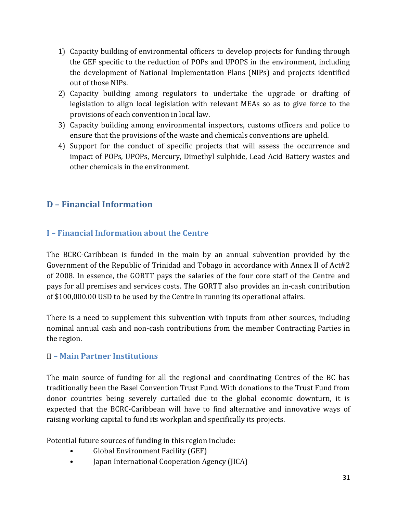- 1) Capacity building of environmental officers to develop projects for funding through the GEF specific to the reduction of POPs and UPOPS in the environment, including the development of National Implementation Plans (NIPs) and projects identified out of those NIPs.
- 2) Capacity building among regulators to undertake the upgrade or drafting of legislation to align local legislation with relevant MEAs so as to give force to the provisions of each convention in local law.
- 3) Capacity building among environmental inspectors, customs officers and police to ensure that the provisions of the waste and chemicals conventions are upheld.
- 4) Support for the conduct of specific projects that will assess the occurrence and impact of POPs, UPOPs, Mercury, Dimethyl sulphide, Lead Acid Battery wastes and other chemicals in the environment.

## <span id="page-43-0"></span>**D – Financial Information**

#### <span id="page-43-1"></span>**I – Financial Information about the Centre**

The BCRC-Caribbean is funded in the main by an annual subvention provided by the Government of the Republic of Trinidad and Tobago in accordance with Annex II of Act#2 of 2008. In essence, the GORTT pays the salaries of the four core staff of the Centre and pays for all premises and services costs. The GORTT also provides an in-cash contribution of \$100,000.00 USD to be used by the Centre in running its operational affairs.

There is a need to supplement this subvention with inputs from other sources, including nominal annual cash and non-cash contributions from the member Contracting Parties in the region.

#### <span id="page-43-2"></span>II **– Main Partner Institutions**

The main source of funding for all the regional and coordinating Centres of the BC has traditionally been the Basel Convention Trust Fund. With donations to the Trust Fund from donor countries being severely curtailed due to the global economic downturn, it is expected that the BCRC-Caribbean will have to find alternative and innovative ways of raising working capital to fund its workplan and specifically its projects.

Potential future sources of funding in this region include:

- Global Environment Facility (GEF)
- Japan International Cooperation Agency (JICA)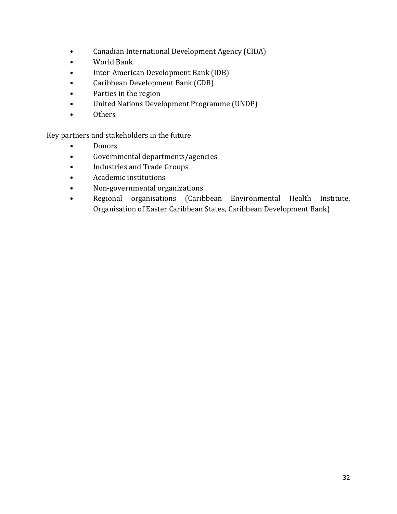- Canadian International Development Agency (CIDA)
- World Bank
- Inter-American Development Bank (IDB)
- Caribbean Development Bank (CDB)
- Parties in the region
- United Nations Development Programme (UNDP)
- Others

Key partners and stakeholders in the future

- Donors
- Governmental departments/agencies
- Industries and Trade Groups
- Academic institutions
- Non-governmental organizations
- Regional organisations (Caribbean Environmental Health Institute, Organisation of Easter Caribbean States, Caribbean Development Bank)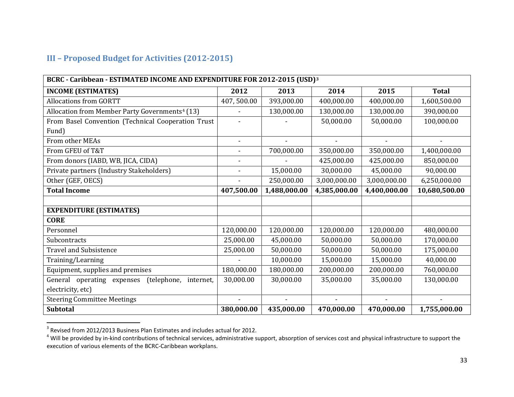#### <span id="page-45-2"></span><span id="page-45-1"></span>**III – Proposed Budget for Activities (2012-2015)**

<span id="page-45-0"></span>

| BCRC - Caribbean - ESTIMATED INCOME AND EXPENDITURE FOR 2012-2015 (USD) <sup>3</sup> |                          |                          |                |                |               |  |  |  |
|--------------------------------------------------------------------------------------|--------------------------|--------------------------|----------------|----------------|---------------|--|--|--|
| <b>INCOME (ESTIMATES)</b>                                                            | 2012                     | 2013                     | 2014           | 2015           | <b>Total</b>  |  |  |  |
| <b>Allocations from GORTT</b>                                                        | 407,500.00               | 393,000.00               | 400,000.00     | 400,000.00     | 1,600,500.00  |  |  |  |
| Allocation from Member Party Governments <sup>4</sup> (13)                           |                          | 130,000.00               | 130,000.00     | 130,000.00     | 390,000.00    |  |  |  |
| From Basel Convention (Technical Cooperation Trust                                   |                          |                          | 50,000.00      | 50,000.00      | 100,000.00    |  |  |  |
| Fund)                                                                                |                          |                          |                |                |               |  |  |  |
| From other MEAs                                                                      | $\overline{\phantom{a}}$ | $\overline{\phantom{a}}$ | $\blacksquare$ | $\blacksquare$ |               |  |  |  |
| From GFEU of T&T                                                                     |                          | 700,000.00               | 350,000.00     | 350,000.00     | 1,400,000.00  |  |  |  |
| From donors (IABD, WB, JICA, CIDA)                                                   | $\overline{\phantom{a}}$ |                          | 425,000.00     | 425,000.00     | 850,000.00    |  |  |  |
| Private partners (Industry Stakeholders)                                             | $\blacksquare$           | 15,000.00                | 30,000.00      | 45,000.00      | 90,000.00     |  |  |  |
| Other (GEF, OECS)                                                                    |                          | 250,000.00               | 3,000,000.00   | 3,000,000.00   | 6,250,000.00  |  |  |  |
| <b>Total Income</b>                                                                  | 407,500.00               | 1,488,000.00             | 4,385,000.00   | 4,400,000.00   | 10,680,500.00 |  |  |  |
|                                                                                      |                          |                          |                |                |               |  |  |  |
| <b>EXPENDITURE (ESTIMATES)</b>                                                       |                          |                          |                |                |               |  |  |  |
| <b>CORE</b>                                                                          |                          |                          |                |                |               |  |  |  |
| Personnel                                                                            | 120,000.00               | 120,000.00               | 120,000.00     | 120,000.00     | 480,000.00    |  |  |  |
| Subcontracts                                                                         | 25,000.00                | 45,000.00                | 50,000.00      | 50,000.00      | 170,000.00    |  |  |  |
| <b>Travel and Subsistence</b>                                                        | 25,000.00                | 50,000.00                | 50,000.00      | 50,000.00      | 175,000.00    |  |  |  |
| Training/Learning                                                                    |                          | 10,000.00                | 15,000.00      | 15,000.00      | 40,000.00     |  |  |  |
| Equipment, supplies and premises                                                     | 180,000.00               | 180,000.00               | 200,000.00     | 200,000.00     | 760,000.00    |  |  |  |
| General operating expenses<br>(telephone,<br>internet,                               | 30,000.00                | 30,000.00                | 35,000.00      | 35,000.00      | 130,000.00    |  |  |  |
| electricity, etc)                                                                    |                          |                          |                |                |               |  |  |  |
| <b>Steering Committee Meetings</b>                                                   |                          |                          |                |                |               |  |  |  |
| <b>Subtotal</b>                                                                      | 380,000.00               | 435,000.00               | 470,000.00     | 470,000.00     | 1,755,000.00  |  |  |  |

 $3$  Revised from 2012/2013 Business Plan Estimates and includes actual for 2012.<br> $4$  Will be provided by in-kind contributions of technical services, administrative support, absorption of services cost and physical infras execution of various elements of the BCRC-Caribbean workplans.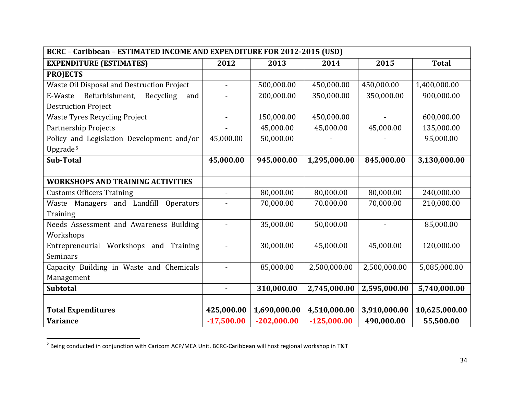<span id="page-46-0"></span>

| BCRC - Caribbean - ESTIMATED INCOME AND EXPENDITURE FOR 2012-2015 (USD) |                          |               |               |              |               |
|-------------------------------------------------------------------------|--------------------------|---------------|---------------|--------------|---------------|
| <b>EXPENDITURE (ESTIMATES)</b>                                          | 2012                     | 2013          | 2014          | 2015         | <b>Total</b>  |
| <b>PROJECTS</b>                                                         |                          |               |               |              |               |
| Waste Oil Disposal and Destruction Project                              | $\overline{\phantom{a}}$ | 500,000.00    | 450,000.00    | 450,000.00   | 1,400,000.00  |
| Recycling<br>Refurbishment,<br>E-Waste<br>and                           |                          | 200,000.00    | 350,000.00    | 350,000.00   | 900,000.00    |
| <b>Destruction Project</b>                                              |                          |               |               |              |               |
| <b>Waste Tyres Recycling Project</b>                                    | $\blacksquare$           | 150,000.00    | 450,000.00    |              | 600,000.00    |
| Partnership Projects                                                    |                          | 45,000.00     | 45,000.00     | 45,000.00    | 135,000.00    |
| Policy and Legislation Development and/or                               | 45,000.00                | 50,000.00     |               |              | 95,000.00     |
| Upgrade <sup>5</sup>                                                    |                          |               |               |              |               |
| Sub-Total                                                               | 45,000.00                | 945,000.00    | 1,295,000.00  | 845,000.00   | 3,130,000.00  |
|                                                                         |                          |               |               |              |               |
| <b>WORKSHOPS AND TRAINING ACTIVITIES</b>                                |                          |               |               |              |               |
| <b>Customs Officers Training</b>                                        |                          | 80,000.00     | 80,000.00     | 80,000.00    | 240,000.00    |
| Waste Managers and Landfill Operators                                   |                          | 70,000.00     | 70.000.00     | 70,000.00    | 210,000.00    |
| Training                                                                |                          |               |               |              |               |
| Needs Assessment and Awareness Building                                 | $\blacksquare$           | 35,000.00     | 50,000.00     |              | 85,000.00     |
| Workshops                                                               |                          |               |               |              |               |
| Entrepreneurial Workshops and Training                                  |                          | 30,000.00     | 45,000.00     | 45,000.00    | 120,000.00    |
| Seminars                                                                |                          |               |               |              |               |
| Capacity Building in Waste and Chemicals                                |                          | 85,000.00     | 2,500,000.00  | 2,500,000.00 | 5,085,000.00  |
| Management                                                              |                          |               |               |              |               |
| <b>Subtotal</b>                                                         | $\blacksquare$           | 310,000.00    | 2,745,000.00  | 2,595,000.00 | 5,740,000.00  |
|                                                                         |                          |               |               |              |               |
| <b>Total Expenditures</b>                                               | 425,000.00               | 1,690,000.00  | 4,510,000.00  | 3,910,000.00 | 10,625,000.00 |
| <b>Variance</b>                                                         | $-17,500.00$             | $-202,000.00$ | $-125,000.00$ | 490,000.00   | 55,500.00     |

 <sup>5</sup> Being conducted in conjunction with Caricom ACP/MEA Unit. BCRC-Caribbean will host regional workshop in T&T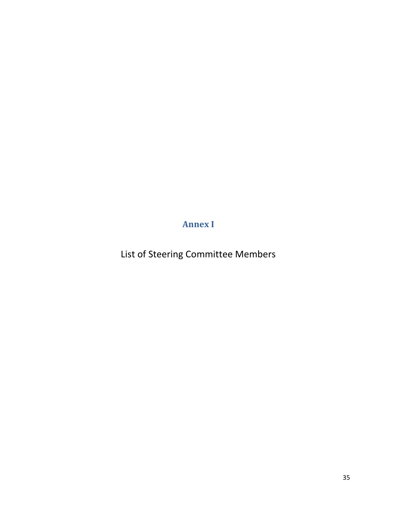**Annex I**

<span id="page-47-0"></span>List of Steering Committee Members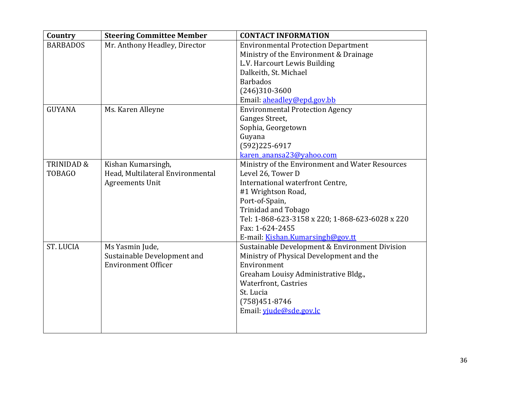| Country               | <b>Steering Committee Member</b> | <b>CONTACT INFORMATION</b>                      |
|-----------------------|----------------------------------|-------------------------------------------------|
| <b>BARBADOS</b>       | Mr. Anthony Headley, Director    | <b>Environmental Protection Department</b>      |
|                       |                                  | Ministry of the Environment & Drainage          |
|                       |                                  | L.V. Harcourt Lewis Building                    |
|                       |                                  | Dalkeith, St. Michael                           |
|                       |                                  | <b>Barbados</b>                                 |
|                       |                                  | $(246)310-3600$                                 |
|                       |                                  | Email: aheadley@epd.gov.bb                      |
| <b>GUYANA</b>         | Ms. Karen Alleyne                | <b>Environmental Protection Agency</b>          |
|                       |                                  | Ganges Street,                                  |
|                       |                                  | Sophia, Georgetown                              |
|                       |                                  | Guyana                                          |
|                       |                                  | $(592)225-6917$                                 |
|                       |                                  | karen anansa23@yahoo.com                        |
| <b>TRINIDAD &amp;</b> | Kishan Kumarsingh,               | Ministry of the Environment and Water Resources |
| <b>TOBAGO</b>         | Head, Multilateral Environmental | Level 26, Tower D                               |
|                       | <b>Agreements Unit</b>           | International waterfront Centre,                |
|                       |                                  | #1 Wrightson Road,                              |
|                       |                                  | Port-of-Spain,                                  |
|                       |                                  | <b>Trinidad and Tobago</b>                      |
|                       |                                  | Tel: 1-868-623-3158 x 220; 1-868-623-6028 x 220 |
|                       |                                  | Fax: 1-624-2455                                 |
|                       |                                  | E-mail: Kishan.Kumarsingh@gov.tt                |
| <b>ST. LUCIA</b>      | Ms Yasmin Jude,                  | Sustainable Development & Environment Division  |
|                       | Sustainable Development and      | Ministry of Physical Development and the        |
|                       | <b>Environment Officer</b>       | Environment                                     |
|                       |                                  | Greaham Louisy Administrative Bldg.,            |
|                       |                                  | <b>Waterfront, Castries</b>                     |
|                       |                                  | St. Lucia                                       |
|                       |                                  | $(758)451-8746$                                 |
|                       |                                  | Email: viude@sde.gov.lc                         |
|                       |                                  |                                                 |
|                       |                                  |                                                 |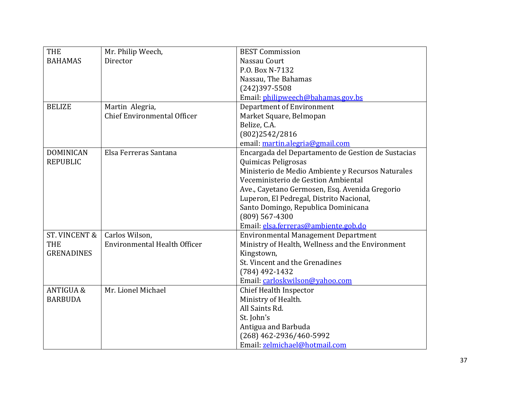| <b>THE</b>           | Mr. Philip Weech,                   | <b>BEST Commission</b>                             |
|----------------------|-------------------------------------|----------------------------------------------------|
| <b>BAHAMAS</b>       | Director                            | Nassau Court                                       |
|                      |                                     | P.O. Box N-7132                                    |
|                      |                                     | Nassau, The Bahamas                                |
|                      |                                     | $(242)397 - 5508$                                  |
|                      |                                     | Email: philipweech@bahamas.gov.bs                  |
| <b>BELIZE</b>        | Martin Alegria,                     | <b>Department of Environment</b>                   |
|                      | <b>Chief Environmental Officer</b>  | Market Square, Belmopan                            |
|                      |                                     | Belize, C.A.                                       |
|                      |                                     | (802)2542/2816                                     |
|                      |                                     | email: martin.alegria@gmail.com                    |
| <b>DOMINICAN</b>     | Elsa Ferreras Santana               | Encargada del Departamento de Gestion de Sustacias |
| <b>REPUBLIC</b>      |                                     | Quimicas Peligrosas                                |
|                      |                                     | Ministerio de Medio Ambiente y Recursos Naturales  |
|                      |                                     | Veceministerio de Gestion Ambiental                |
|                      |                                     | Ave., Cayetano Germosen, Esq. Avenida Gregorio     |
|                      |                                     | Luperon, El Pedregal, Distrito Nacional,           |
|                      |                                     | Santo Domingo, Republica Dominicana                |
|                      |                                     | $(809)$ 567-4300                                   |
|                      |                                     | Email: elsa.ferreras@ambiente.gob.do               |
| ST. VINCENT &        | Carlos Wilson,                      | <b>Environmental Management Department</b>         |
| <b>THE</b>           | <b>Environmental Health Officer</b> | Ministry of Health, Wellness and the Environment   |
| <b>GRENADINES</b>    |                                     | Kingstown,                                         |
|                      |                                     | St. Vincent and the Grenadines                     |
|                      |                                     | $(784)$ 492-1432                                   |
|                      |                                     | Email: carloskwilson@yahoo.com                     |
| <b>ANTIGUA &amp;</b> | Mr. Lionel Michael                  | <b>Chief Health Inspector</b>                      |
| <b>BARBUDA</b>       |                                     | Ministry of Health.                                |
|                      |                                     | All Saints Rd.                                     |
|                      |                                     | St. John's                                         |
|                      |                                     | Antigua and Barbuda                                |
|                      |                                     | (268) 462-2936/460-5992                            |
|                      |                                     | Email: zelmichael@hotmail.com                      |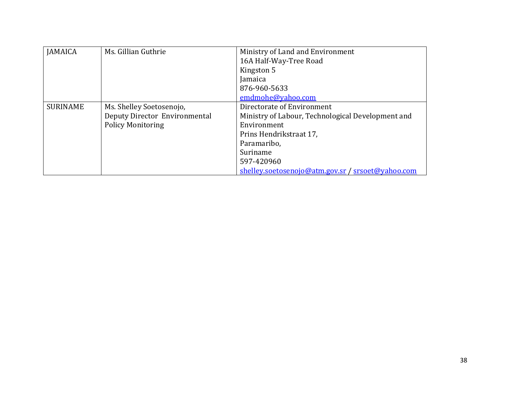| <b>JAMAICA</b>  | Ms. Gillian Guthrie           | Ministry of Land and Environment                  |
|-----------------|-------------------------------|---------------------------------------------------|
|                 |                               | 16A Half-Way-Tree Road                            |
|                 |                               | Kingston 5                                        |
|                 |                               | Jamaica                                           |
|                 |                               | 876-960-5633                                      |
|                 |                               | emdmohe@yahoo.com                                 |
| <b>SURINAME</b> | Ms. Shelley Soetosenojo,      | Directorate of Environment                        |
|                 | Deputy Director Environmental | Ministry of Labour, Technological Development and |
|                 | <b>Policy Monitoring</b>      | Environment                                       |
|                 |                               | Prins Hendrikstraat 17,                           |
|                 |                               | Paramaribo,                                       |
|                 |                               | Suriname                                          |
|                 |                               | 597-420960                                        |
|                 |                               | shelley.soetosenojo@atm.gov.sr / srsoet@yahoo.com |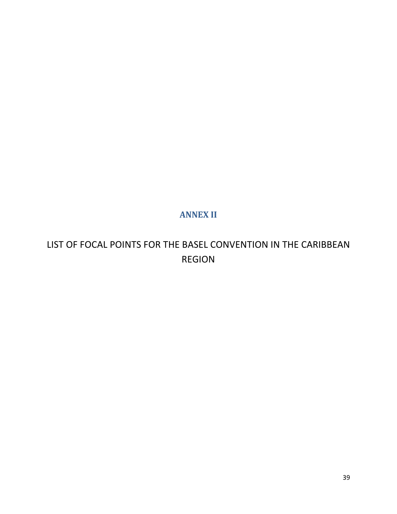### **ANNEX II**

# <span id="page-51-0"></span>LIST OF FOCAL POINTS FOR THE BASEL CONVENTION IN THE CARIBBEAN REGION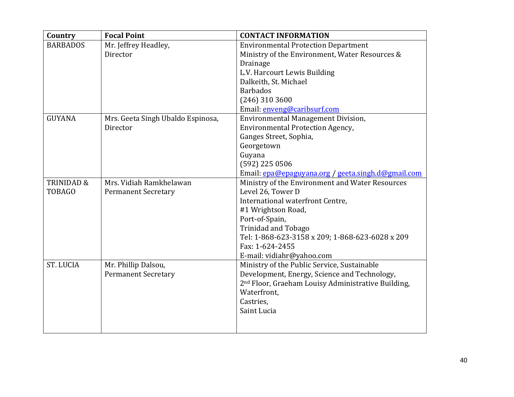| Country               | <b>Focal Point</b>                | <b>CONTACT INFORMATION</b>                                     |
|-----------------------|-----------------------------------|----------------------------------------------------------------|
| <b>BARBADOS</b>       | Mr. Jeffrey Headley,              | <b>Environmental Protection Department</b>                     |
|                       | Director                          | Ministry of the Environment, Water Resources &                 |
|                       |                                   | <b>Drainage</b>                                                |
|                       |                                   | L.V. Harcourt Lewis Building                                   |
|                       |                                   | Dalkeith, St. Michael                                          |
|                       |                                   | <b>Barbados</b>                                                |
|                       |                                   | $(246)$ 310 3600                                               |
|                       |                                   | Email: enveng@caribsurf.com                                    |
| <b>GUYANA</b>         | Mrs. Geeta Singh Ubaldo Espinosa, | <b>Environmental Management Division,</b>                      |
|                       | Director                          | <b>Environmental Protection Agency,</b>                        |
|                       |                                   | Ganges Street, Sophia,                                         |
|                       |                                   | Georgetown                                                     |
|                       |                                   | Guyana                                                         |
|                       |                                   | (592) 225 0506                                                 |
|                       |                                   | Email: epa@epaguyana.org / geeta.singh.d@gmail.com             |
| <b>TRINIDAD &amp;</b> | Mrs. Vidiah Ramkhelawan           | Ministry of the Environment and Water Resources                |
| <b>TOBAGO</b>         | <b>Permanent Secretary</b>        | Level 26, Tower D                                              |
|                       |                                   | International waterfront Centre,                               |
|                       |                                   | #1 Wrightson Road,                                             |
|                       |                                   | Port-of-Spain,                                                 |
|                       |                                   | <b>Trinidad and Tobago</b>                                     |
|                       |                                   | Tel: 1-868-623-3158 x 209; 1-868-623-6028 x 209                |
|                       |                                   | Fax: 1-624-2455                                                |
|                       |                                   | E-mail: vidiahr@yahoo.com                                      |
| <b>ST. LUCIA</b>      | Mr. Phillip Dalsou,               | Ministry of the Public Service, Sustainable                    |
|                       | <b>Permanent Secretary</b>        | Development, Energy, Science and Technology,                   |
|                       |                                   | 2 <sup>nd</sup> Floor, Graeham Louisy Administrative Building, |
|                       |                                   | Waterfront,                                                    |
|                       |                                   | Castries,                                                      |
|                       |                                   | Saint Lucia                                                    |
|                       |                                   |                                                                |
|                       |                                   |                                                                |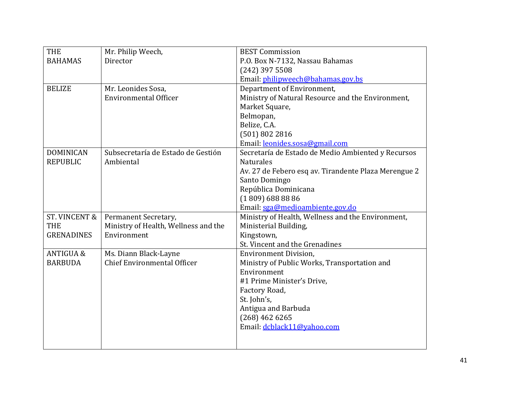| <b>THE</b>               | Mr. Philip Weech,                    | <b>BEST Commission</b>                               |
|--------------------------|--------------------------------------|------------------------------------------------------|
| <b>BAHAMAS</b>           | Director                             | P.O. Box N-7132, Nassau Bahamas                      |
|                          |                                      | $(242)$ 397 5508                                     |
|                          |                                      | Email: philipweech@bahamas.gov.bs                    |
| <b>BELIZE</b>            | Mr. Leonides Sosa,                   | Department of Environment,                           |
|                          | <b>Environmental Officer</b>         | Ministry of Natural Resource and the Environment,    |
|                          |                                      | Market Square,                                       |
|                          |                                      | Belmopan,                                            |
|                          |                                      | Belize, C.A.                                         |
|                          |                                      | (501) 802 2816                                       |
|                          |                                      | Email: leonides.sosa@gmail.com                       |
| <b>DOMINICAN</b>         | Subsecretaría de Estado de Gestión   | Secretaría de Estado de Medio Ambiented y Recursos   |
| <b>REPUBLIC</b>          | Ambiental                            | <b>Naturales</b>                                     |
|                          |                                      | Av. 27 de Febero esq av. Tirandente Plaza Merengue 2 |
|                          |                                      | Santo Domingo                                        |
|                          |                                      | República Dominicana                                 |
|                          |                                      | $(1809)$ 688 88 86                                   |
|                          |                                      | Email: sga@medioambiente.gov.do                      |
| <b>ST. VINCENT &amp;</b> | Permanent Secretary,                 | Ministry of Health, Wellness and the Environment,    |
| <b>THE</b>               | Ministry of Health, Wellness and the | Ministerial Building,                                |
| <b>GRENADINES</b>        | Environment                          | Kingstown,                                           |
|                          |                                      | St. Vincent and the Grenadines                       |
| <b>ANTIGUA &amp;</b>     | Ms. Diann Black-Layne                | <b>Environment Division,</b>                         |
| <b>BARBUDA</b>           | <b>Chief Environmental Officer</b>   | Ministry of Public Works, Transportation and         |
|                          |                                      | Environment                                          |
|                          |                                      | #1 Prime Minister's Drive,                           |
|                          |                                      | Factory Road,                                        |
|                          |                                      | St. John's,                                          |
|                          |                                      | Antigua and Barbuda                                  |
|                          |                                      | $(268)$ 462 6265                                     |
|                          |                                      | Email: dcblack11@yahoo.com                           |
|                          |                                      |                                                      |
|                          |                                      |                                                      |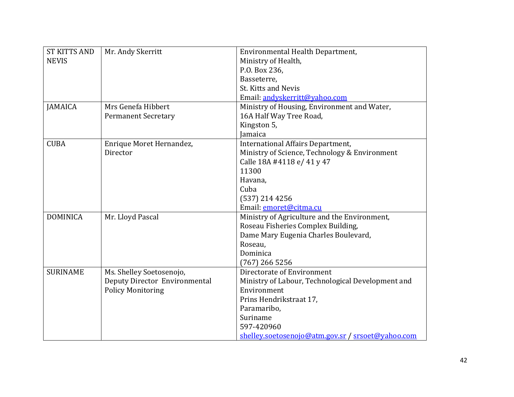| <b>ST KITTS AND</b> | Mr. Andy Skerritt             | Environmental Health Department,                  |
|---------------------|-------------------------------|---------------------------------------------------|
| <b>NEVIS</b>        |                               | Ministry of Health,                               |
|                     |                               | P.O. Box 236,                                     |
|                     |                               | Basseterre,                                       |
|                     |                               | St. Kitts and Nevis                               |
|                     |                               | Email: andyskerritt@yahoo.com                     |
| <b>JAMAICA</b>      | Mrs Genefa Hibbert            | Ministry of Housing, Environment and Water,       |
|                     | <b>Permanent Secretary</b>    | 16A Half Way Tree Road,                           |
|                     |                               | Kingston 5,                                       |
|                     |                               | <b>Jamaica</b>                                    |
| <b>CUBA</b>         | Enrique Moret Hernandez,      | International Affairs Department,                 |
|                     | Director                      | Ministry of Science, Technology & Environment     |
|                     |                               | Calle 18A #4118 e/ 41 y 47                        |
|                     |                               | 11300                                             |
|                     |                               | Havana,                                           |
|                     |                               | Cuba                                              |
|                     |                               | $(537)$ 214 4256                                  |
|                     |                               | Email: emoret@citma.cu                            |
| <b>DOMINICA</b>     | Mr. Lloyd Pascal              | Ministry of Agriculture and the Environment,      |
|                     |                               | Roseau Fisheries Complex Building,                |
|                     |                               | Dame Mary Eugenia Charles Boulevard,              |
|                     |                               | Roseau,                                           |
|                     |                               | Dominica                                          |
|                     |                               | $(767)$ 266 5256                                  |
| <b>SURINAME</b>     | Ms. Shelley Soetosenojo,      | Directorate of Environment                        |
|                     | Deputy Director Environmental | Ministry of Labour, Technological Development and |
|                     | <b>Policy Monitoring</b>      | Environment                                       |
|                     |                               | Prins Hendrikstraat 17,                           |
|                     |                               | Paramaribo,                                       |
|                     |                               | Suriname                                          |
|                     |                               | 597-420960                                        |
|                     |                               | shelley.soetosenojo@atm.gov.sr / srsoet@yahoo.com |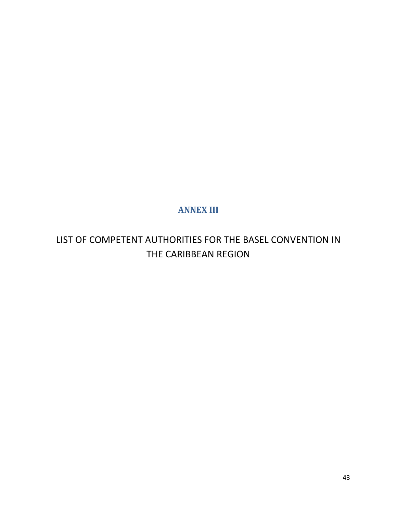## **ANNEX III**

<span id="page-55-0"></span>LIST OF COMPETENT AUTHORITIES FOR THE BASEL CONVENTION IN THE CARIBBEAN REGION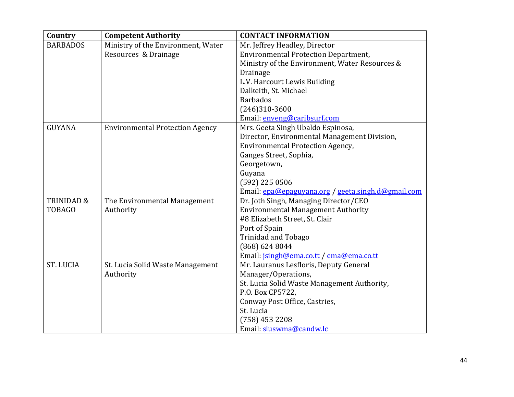| Country               | <b>Competent Authority</b>             | <b>CONTACT INFORMATION</b>                         |
|-----------------------|----------------------------------------|----------------------------------------------------|
| <b>BARBADOS</b>       | Ministry of the Environment, Water     | Mr. Jeffrey Headley, Director                      |
|                       | Resources & Drainage                   | <b>Environmental Protection Department,</b>        |
|                       |                                        | Ministry of the Environment, Water Resources &     |
|                       |                                        | <b>Drainage</b>                                    |
|                       |                                        | L.V. Harcourt Lewis Building                       |
|                       |                                        | Dalkeith, St. Michael                              |
|                       |                                        | <b>Barbados</b>                                    |
|                       |                                        | $(246)310-3600$                                    |
|                       |                                        | Email: enveng@caribsurf.com                        |
| <b>GUYANA</b>         | <b>Environmental Protection Agency</b> | Mrs. Geeta Singh Ubaldo Espinosa,                  |
|                       |                                        | Director, Environmental Management Division,       |
|                       |                                        | <b>Environmental Protection Agency,</b>            |
|                       |                                        | Ganges Street, Sophia,                             |
|                       |                                        | Georgetown,                                        |
|                       |                                        | Guyana                                             |
|                       |                                        | (592) 225 0506                                     |
|                       |                                        | Email: epa@epaguyana.org / geeta.singh.d@gmail.com |
| <b>TRINIDAD &amp;</b> | The Environmental Management           | Dr. Joth Singh, Managing Director/CEO              |
| <b>TOBAGO</b>         | Authority                              | <b>Environmental Management Authority</b>          |
|                       |                                        | #8 Elizabeth Street, St. Clair                     |
|                       |                                        | Port of Spain                                      |
|                       |                                        | <b>Trinidad and Tobago</b>                         |
|                       |                                        | (868) 624 8044                                     |
|                       |                                        | Email: jsingh@ema.co.tt / ema@ema.co.tt            |
| <b>ST. LUCIA</b>      | St. Lucia Solid Waste Management       | Mr. Lauranus Lesfloris, Deputy General             |
|                       | Authority                              | Manager/Operations,                                |
|                       |                                        | St. Lucia Solid Waste Management Authority,        |
|                       |                                        | P.O. Box CP5722,                                   |
|                       |                                        | Conway Post Office, Castries,                      |
|                       |                                        | St. Lucia                                          |
|                       |                                        | $(758)$ 453 2208                                   |
|                       |                                        | Email: sluswma@candw.lc                            |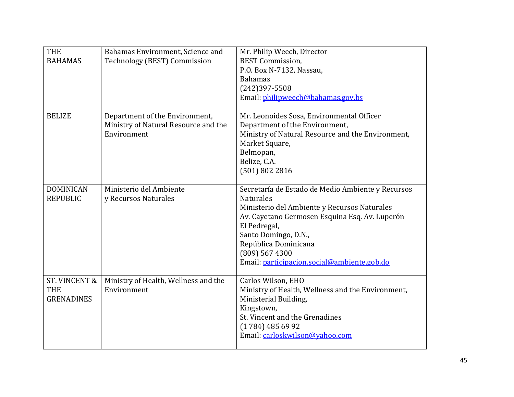| <b>THE</b><br><b>BAHAMAS</b>                                | Bahamas Environment, Science and<br>Technology (BEST) Commission                      | Mr. Philip Weech, Director<br><b>BEST Commission,</b><br>P.O. Box N-7132, Nassau,<br><b>Bahamas</b><br>$(242)397 - 5508$<br>Email: philipweech@bahamas.gov.bs                                                                                                                                              |
|-------------------------------------------------------------|---------------------------------------------------------------------------------------|------------------------------------------------------------------------------------------------------------------------------------------------------------------------------------------------------------------------------------------------------------------------------------------------------------|
| <b>BELIZE</b>                                               | Department of the Environment,<br>Ministry of Natural Resource and the<br>Environment | Mr. Leonoides Sosa, Environmental Officer<br>Department of the Environment,<br>Ministry of Natural Resource and the Environment,<br>Market Square,<br>Belmopan,<br>Belize, C.A.<br>(501) 802 2816                                                                                                          |
| <b>DOMINICAN</b><br><b>REPUBLIC</b>                         | Ministerio del Ambiente<br>y Recursos Naturales                                       | Secretaría de Estado de Medio Ambiente y Recursos<br><b>Naturales</b><br>Ministerio del Ambiente y Recursos Naturales<br>Av. Cayetano Germosen Esquina Esq. Av. Luperón<br>El Pedregal,<br>Santo Domingo, D.N.,<br>República Dominicana<br>$(809)$ 567 4300<br>Email: participacion.social@ambiente.gob.do |
| <b>ST. VINCENT &amp;</b><br><b>THE</b><br><b>GRENADINES</b> | Ministry of Health, Wellness and the<br>Environment                                   | Carlos Wilson, EHO<br>Ministry of Health, Wellness and the Environment,<br>Ministerial Building,<br>Kingstown,<br>St. Vincent and the Grenadines<br>$(1784)$ 485 69 92<br>Email: carloskwilson@yahoo.com                                                                                                   |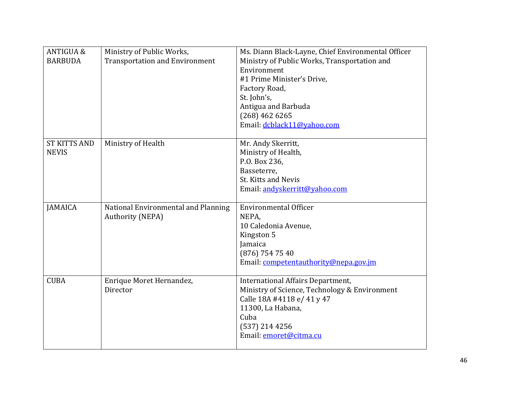| <b>ANTIGUA &amp;</b><br><b>BARBUDA</b> | Ministry of Public Works,<br><b>Transportation and Environment</b> | Ms. Diann Black-Layne, Chief Environmental Officer<br>Ministry of Public Works, Transportation and<br>Environment<br>#1 Prime Minister's Drive,<br>Factory Road,<br>St. John's,<br>Antigua and Barbuda |
|----------------------------------------|--------------------------------------------------------------------|--------------------------------------------------------------------------------------------------------------------------------------------------------------------------------------------------------|
|                                        |                                                                    | $(268)$ 462 6265<br>Email: dcblack11@yahoo.com                                                                                                                                                         |
| <b>ST KITTS AND</b><br><b>NEVIS</b>    | Ministry of Health                                                 | Mr. Andy Skerritt,<br>Ministry of Health,<br>P.O. Box 236,<br>Basseterre,<br>St. Kitts and Nevis<br>Email: andyskerritt@yahoo.com                                                                      |
| <b>JAMAICA</b>                         | National Environmental and Planning<br><b>Authority (NEPA)</b>     | <b>Environmental Officer</b><br>NEPA.<br>10 Caledonia Avenue,<br>Kingston 5<br>Jamaica<br>$(876)$ 754 75 40<br>Email: competentauthority@nepa.gov.jm                                                   |
| <b>CUBA</b>                            | Enrique Moret Hernandez,<br>Director                               | International Affairs Department,<br>Ministry of Science, Technology & Environment<br>Calle 18A #4118 e/ 41 y 47<br>11300, La Habana,<br>Cuba<br>$(537)$ 214 4256<br>Email: emoret@citma.cu            |